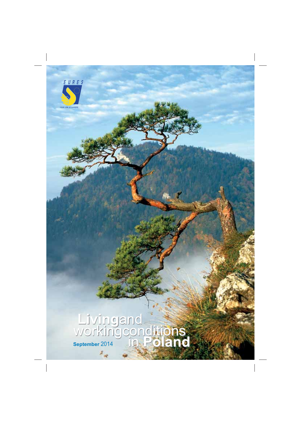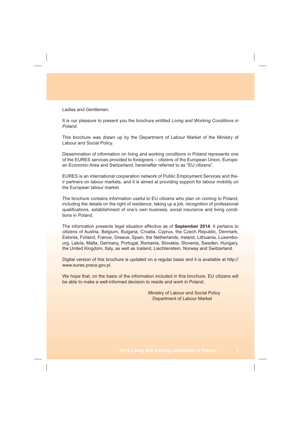Ladies and Gentlemen,

It is our pleasure to present you the brochure entitled *Living and Working Conditions in Poland*.

This brochure was drawn up by the Department of Labour Market of the Ministry of Labour and Social Policy.

Dissemination of information on living and working conditions in Poland represents one of the EURES services provided to foreigners – citizens of the European Union, European Economic Area and Switzerland, hereinafter referred to as "EU citizens".

EURES is an international cooperation network of Public Employment Services and their partners on labour markets, and it is aimed at providing support for labour mobility on the European labour market.

The brochure contains information useful to EU citizens who plan on coming to Poland, including the details on the right of residence, taking up a job, recognition of professional qualifications, establishment of one's own business, social insurance and living conditions in Poland.

The information presents legal situation effective as of **September 2014**. It pertains to citizens of Austria, Belgium, Bulgaria, Croatia, Cyprus, the Czech Republic, Denmark, Estonia, Finland, France, Greece, Spain, the Netherlands, Ireland, Lithuania, Luxembourg, Latvia, Malta, Germany, Portugal, Romania, Slovakia, Slovenia, Sweden, Hungary, the United Kingdom, Italy, as well as Iceland, Liechtenstein, Norway and Switzerland.

Digital version of this brochure is updated on a regular basis and it is available at http:// www.eures.praca.gov.pl.

We hope that, on the basis of the information included in this brochure, EU citizens will be able to make a well-informed decision to reside and work in Poland.

> Ministry of Labour and Social Policy Department of Labour Market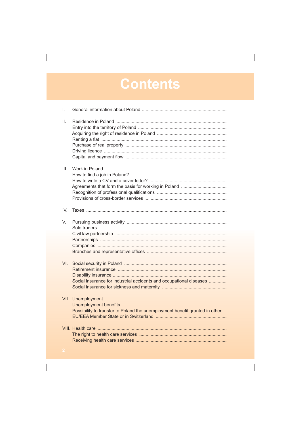# Contents

| I.              |                                                                             |
|-----------------|-----------------------------------------------------------------------------|
| $\mathbf{II}$ . |                                                                             |
| III.            |                                                                             |
| IV.             |                                                                             |
| V.              |                                                                             |
| VI.             | Social insurance for industrial accidents and occupational diseases         |
| VII.            | Possibility to transfer to Poland the unemployment benefit granted in other |
|                 |                                                                             |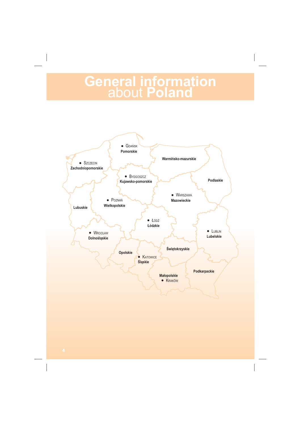# **General information<br>
about Poland**

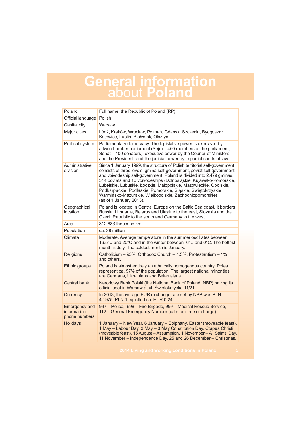### **General information**  about **Poland**

| Poland                                               | Full name: the Republic of Poland (RP)                                                                                                                                                                                                                                                                                                                                                                                                                                                                                         |  |  |
|------------------------------------------------------|--------------------------------------------------------------------------------------------------------------------------------------------------------------------------------------------------------------------------------------------------------------------------------------------------------------------------------------------------------------------------------------------------------------------------------------------------------------------------------------------------------------------------------|--|--|
| Official language                                    | Polish                                                                                                                                                                                                                                                                                                                                                                                                                                                                                                                         |  |  |
| Capital city                                         | Warsaw                                                                                                                                                                                                                                                                                                                                                                                                                                                                                                                         |  |  |
| Major cities                                         | Łódź, Kraków, Wrocław, Poznań, Gdańsk, Szczecin, Bydgoszcz,<br>Katowice, Lublin, Białystok, Olsztyn                                                                                                                                                                                                                                                                                                                                                                                                                            |  |  |
| Political system                                     | Parliamentary democracy. The legislative power is exercised by<br>a two-chamber parliament (Sejm - 460 members of the parliament,<br>Senat - 100 senators), executive power by the Council of Ministers<br>and the President, and the judicial power by impartial courts of law.                                                                                                                                                                                                                                               |  |  |
| Administrative<br>division                           | Since 1 January 1999, the structure of Polish territorial self-government<br>consists of three levels: gmina self-government, poviat self-government<br>and voivodeship self-government. Poland is divided into 2,479 gminas,<br>314 poviats and 16 voivodeships (Dolnośląskie, Kujawsko-Pomorskie,<br>Lubelskie, Lubuskie, Łódzkie, Małopolskie, Mazowieckie, Opolskie,<br>Podkarpackie, Podlaskie, Pomorskie, Śląskie, Świętokrzyskie,<br>Warmińsko-Mazurskie, Wielkopolskie, Zachodniopomorskie)<br>(as of 1 January 2013). |  |  |
| Geographical<br>location                             | Poland is located in Central Europe on the Baltic Sea coast. It borders<br>Russia, Lithuania, Belarus and Ukraine to the east, Slovakia and the<br>Czech Republic to the south and Germany to the west.                                                                                                                                                                                                                                                                                                                        |  |  |
| Area                                                 | 312,683 thousand km.                                                                                                                                                                                                                                                                                                                                                                                                                                                                                                           |  |  |
| Population                                           | ca. 38 million                                                                                                                                                                                                                                                                                                                                                                                                                                                                                                                 |  |  |
| Climate                                              | Moderate. Average temperature in the summer oscillates between<br>16.5°C and 20°C and in the winter between -6°C and 0°C. The hottest<br>month is July. The coldest month is January.                                                                                                                                                                                                                                                                                                                                          |  |  |
| Religions                                            | Catholicism - 95%, Orthodox Church - 1.5%, Protestantism - 1%<br>and others.                                                                                                                                                                                                                                                                                                                                                                                                                                                   |  |  |
| Ethnic groups                                        | Poland is almost entirely an ethnically homogenous country. Poles<br>represent ca. 97% of the population. The largest national minorities<br>are Germans, Ukrainians and Belarusians.                                                                                                                                                                                                                                                                                                                                          |  |  |
| <b>Central bank</b>                                  | Narodowy Bank Polski (the National Bank of Poland, NBP) having its<br>official seat in Warsaw at ul. Świętokrzyska 11/21.                                                                                                                                                                                                                                                                                                                                                                                                      |  |  |
| Currency                                             | In 2013, the average EUR exchange rate set by NBP was PLN<br>4.1975. PLN 1 equalled ca. EUR 0.24.                                                                                                                                                                                                                                                                                                                                                                                                                              |  |  |
| <b>Emergency and</b><br>information<br>phone numbers | 997 - Police, 998 - Fire Brigade, 999 - Medical Rescue Service,<br>112 – General Emergency Number (calls are free of charge)                                                                                                                                                                                                                                                                                                                                                                                                   |  |  |
| <b>Holidays</b>                                      | 1 January – New Year, 6 January – Epiphany, Easter (moveable feast),<br>1 May - Labour Day, 3 May - 3 May Constitution Day, Corpus Christi<br>(moveable feast), 15 August - Assumption, 1 November - All Saints' Day,<br>11 November – Independence Day, 25 and 26 December – Christmas.                                                                                                                                                                                                                                       |  |  |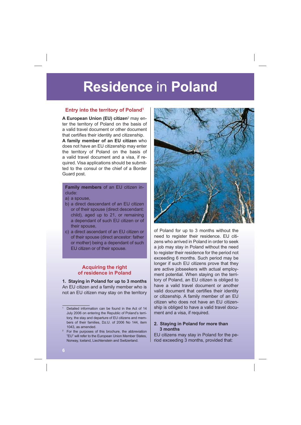### **Entry into the territory of Poland<sup>1</sup>**

**A European Union (EU) citizen**<sup>2</sup> may enter the territory of Poland on the basis of a valid travel document or other document that certifies their identity and citizenship.

**A family member of an EU citizen** who does not have an EU citizenship may enter the territory of Poland on the basis of a valid travel document and a visa, if required. Visa applications should be submitted to the consul or the chief of a Border Guard post.

### **Family members** of an EU citizen include:

- a) a spouse,
- b) a direct descendant of an EU citizen or of their spouse (direct descendant: child), aged up to 21, or remaining a dependant of such EU citizen or of their spouse,
- c) a direct ascendant of an EU citizen or of their spouse (direct ancestor: father or mother) being a dependant of such EU citizen or of their spouse.

### **Acquiring the right of residence in Poland**

**1. Staying in Poland for up to 3 months** An EU citizen and a family member who is not an EU citizen may stay on the territory



of Poland for up to 3 months without the need to register their residence. EU citizens who arrived in Poland in order to seek a job may stay in Poland without the need to register their residence for the period not exceeding 6 months. Such period may be longer if such EU citizens prove that they are active jobseekers with actual employment potential. When staying on the territory of Poland, an EU citizen is obliged to have a valid travel document or another valid document that certifies their identity or citizenship. A family member of an EU citizen who does not have an EU citizenship is obliged to have a valid travel document and a visa, if required.

#### **2. Staying in Poland for more than 3 months**

EU citizens may stay in Poland for the period exceeding 3 months, provided that:

Detailed information can be found in the Act of 14 July 2006 on entering the Republic of Poland's territory, the stay and departure of EU citizens and members of their families, Dz.U. of 2006 No 144, item 1043, as amended.

<sup>2</sup> For the purposes of this brochure, the abbreviation "EU" will refer to the European Union Member States, Norway, Iceland, Liechtenstein and Switzerland.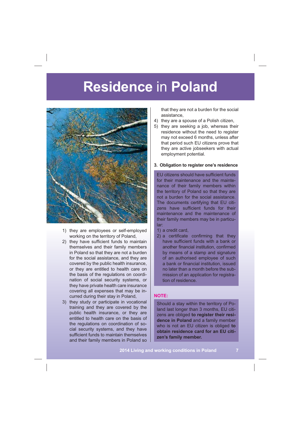

- 1) they are employees or self-employed working on the territory of Poland,
- 2) they have sufficient funds to maintain themselves and their family members in Poland so that they are not a burden for the social assistance, and they are covered by the public health insurance, or they are entitled to health care on the basis of the regulations on coordination of social security systems, or they have private health care insurance covering all expenses that may be incurred during their stay in Poland,
- 3) they study or participate in vocational training and they are covered by the public health insurance, or they are entitled to health care on the basis of the regulations on coordination of social security systems, and they have sufficient funds to maintain themselves and their family members in Poland so

that they are not a burden for the social assistance,

- 4) they are a spouse of a Polish citizen,
- 5) they are seeking a job, whereas their residence without the need to register may not exceed 6 months, unless after that period such EU citizens prove that they are active jobseekers with actual employment potential.

#### **3. Obligation to register one's residence**

EU citizens should have sufficient funds for their maintenance and the maintenance of their family members within the territory of Poland so that they are not a burden for the social assistance. The documents certifying that EU citizens have sufficient funds for their maintenance and the maintenance of their family members may be in particular:

- 1) a credit card,
- 2) a certificate confirming that they have sufficient funds with a bank or another financial institution, confirmed by means of a stamp and signature of an authorised employee of such a bank or financial institution, issued no later than a month before the submission of an application for registration of residence.

#### **NOTE:**

Should a stay within the territory of Poland last longer than 3 months, EU citizens are obliged **to register their residence in Poland** and a family member who is not an EU citizen is obliged **to obtain residence card for an EU citizen's family member.**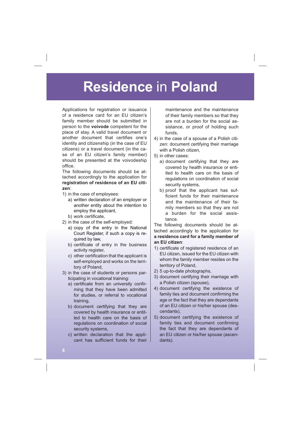Applications for registration or issuance of a residence card for an EU citizen's family member should be submitted in person to the **voivode** competent for the place of stay. A valid travel document or another document that certifies one's identity and citizenship (in the case of EU citizens) or a travel document (in the case of an EU citizen's family member) should be presented at the voivodeship office.

The following documents should be attached accordingly to the application for **registration of residence of an EU citizen**:

- 1) in the case of employees:
	- a) written declaration of an employer or another entity about the intention to employ the applicant,
	- b) work certificate,
- 2) in the case of the self-employed:
	- a) copy of the entry in the National Court Register, if such a copy is required by law,
	- b) certificate of entry in the business activity register,
	- c) other certification that the applicant is self-employed and works on the territory of Poland,
- 3) in the case of students or persons participating in vocational training:
	- a) certificate from an university confirming that they have been admitted for studies, or referral to vocational training,
	- b) document certifying that they are covered by health insurance or entitled to health care on the basis of regulations on coordination of social security systems,
	- c) written declaration that the applicant has sufficient funds for their

maintenance and the maintenance of their family members so that they are not a burden for the social assistance, or proof of holding such funds,

- 4) in the case of a spouse of a Polish citizen: document certifying their marriage with a Polish citizen,
- 5) in other cases:
	- a) document certifying that they are covered by health insurance or entitled to health care on the basis of regulations on coordination of social security systems,
	- b) proof that the applicant has suf ficient funds for their maintenance and the maintenance of their family members so that they are not a burden for the social assistance.

The following documents should be attached accordingly to the application for **a residence card for a family member of an EU citizen**:

- 1) certificate of registered residence of an EU citizen, issued for the EU citizen with whom the family member resides on the territory of Poland,
- 2) 5 up-to-date photographs,
- 3) document certifying their marriage with a Polish citizen (spouse),
- 4) document certifying the existence of family ties and document confirming the age or the fact that they are dependants of an EU citizen or his/her spouse (descendants),
- 5) document certifying the existence of family ties and document confirming the fact that they are dependants of an EU citizen or his/her spouse (ascendants).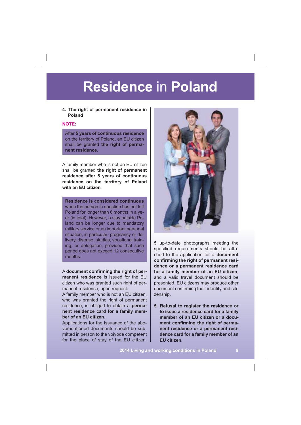### **4. The right of permanent residence in Poland**

### **NOTE:**

After **5 years of continuous residence** on the territory of Poland, an EU citizen shall be granted **the right of permanent residence**.

A family member who is not an EU citizen shall be granted **the right of permanent residence after 5 years of continuous residence on the territory of Poland with an EU citizen**.

**Residence is considered continuous** when the person in question has not left Poland for longer than 6 months in a year (in total). However, a stay outside Poland can be longer due to mandatory military service or an important personal situation, in particular: pregnancy or delivery, disease, studies, vocational training, or delegation, provided that such period does not exceed 12 consecutive months.

A document confirming the right of per**manent residence** is issued for the EU citizen who was granted such right of permanent residence, upon request.

A family member who is not an EU citizen, who was granted the right of permanent residence, is obliged to obtain a **permanent residence card for a family member of an EU citizen**.

Applications for the issuance of the abovementioned documents should be submitted in person to the voivode competent for the place of stay of the EU citizen.



5 up-to-date photographs meeting the specified requirements should be attached to the application for a **document**  confirming the right of permanent resi**dence or a permanent residence card for a family member of an EU citizen**, and a valid travel document should be presented. EU citizens may produce other document confirming their identity and citizenship.

**5. Refusal to register the residence or to issue a residence card for a family member of an EU citizen or a docu**ment confirming the right of perma**nent residence or a permanent residence card for a family member of an EU citizen.**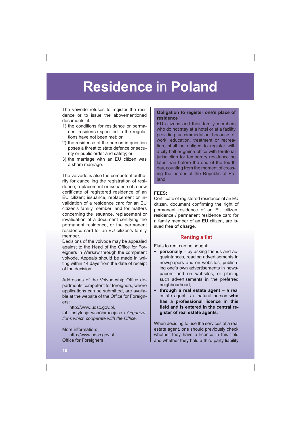The voivode refuses to register the residence or to issue the abovementioned documents, if:

- 1) the conditions for residence or permanent residence specified in the regulations have not been met; or
- 2) the residence of the person in question poses a threat to state defence or security or public order and safety; or
- 3) the marriage with an EU citizen was a sham marriage.

The voivode is also the competent authority for cancelling the registration of residence; replacement or issuance of a new certificate of registered residence of an EU citizen; issuance, replacement or invalidation of a residence card for an EU citizen's family member; and for matters concerning the issuance, replacement or invalidation of a document certifying the permanent residence, or the permanent residence card for an EU citizen's family member.

Decisions of the voivode may be appealed against to the Head of the Office for Foreigners in Warsaw through the competent voivode. Appeals should be made in writing within 14 days from the date of receipt of the decision.

Addresses of the Voivodeship Office departments competent for foreigners, where applications can be submitted, are available at the website of the Office for Foreigners:

http://www.udsc.gov.pl, tab Instytucje współpracujące / Organiza*tions which cooperate with the Office.* 

More information: http://www.udsc.gov.pl Office for Foreigners

### **Obligation to register one's place of residence**

EU citizens and their family members who do not stay at a hotel or at a facility providing accommodation because of work, education, treatment or recreation, shall be obliged to register with a city hall or gmina office with territorial jurisdiction for temporary residence no later than before the end of the fourth day, counting from the moment of crossing the border of the Republic of Poland.

### **FEES:**

Certificate of registered residence of an EU citizen, document confirming the right of permanent residence of an EU citizen, residence / permanent residence card for a family member of an EU citizen, are issued **free of charge**.

### **Renting a flat**

Flats to rent can be sought:

- **personally** by asking friends and acquaintances, reading advertisements in newspapers and on websites, publishing one's own advertisements in newspapers and on websites, or placing such advertisements in the preferred neighbourhood,
- **through a real estate agent** a real estate agent is a natural person **who has a professional licence in this -eld and is entered in the central register of real estate agents**.

When deciding to use the services of a real estate agent, one should previously check whether they have a licence in this field and whether they hold a third party liability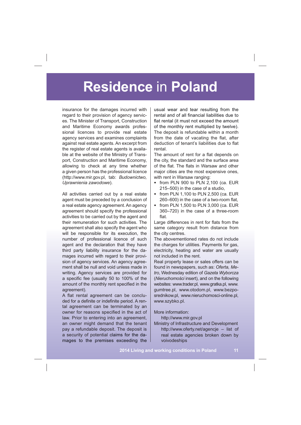insurance for the damages incurred with regard to their provision of agency services. The Minister of Transport, Construction and Maritime Economy awards professional licences to provide real estate agency services and examines complaints against real estate agents. An excerpt from the register of real estate agents is available at the website of the Ministry of Transport, Construction and Maritime Economy, allowing to check at any time whether a given person has the professional licence (http://www.mir.gov.pl, tab: *Budownictwo, Uprawnienia zawodowe*).

All activities carried out by a real estate agent must be preceded by a conclusion of a real estate agency agreement. An agency agreement should specify the professional activities to be carried out by the agent and their remuneration for such activities. The agreement shall also specify the agent who will be responsible for its execution, the number of professional licence of such agent and the declaration that they have third party liability insurance for the damages incurred with regard to their provision of agency services. An agency agreement shall be null and void unless made in writing. Agency services are provided for a specific fee (usually 50 to 100% of the amount of the monthly rent specified in the agreement).

A flat rental agreement can be concluded for a definite or indefinite period. A rental agreement can be terminated by an owner for reasons specified in the act of law. Prior to entering into an agreement, an owner might demand that the tenant pay a refundable deposit. The deposit is a security of potential claims for the damages to the premises exceeding the

usual wear and tear resulting from the rental and of all financial liabilities due to flat rental (it must not exceed the amount of the monthly rent multiplied by twelve). The deposit is refundable within a month from the date of vacating the flat, after deduction of tenant's liabilities due to flat rental.

The amount of rent for a flat depends on the city, the standard and the surface area of the flat. The flats in Warsaw and other major cities are the most expensive ones, with rent in Warsaw ranging:

- from PLN 900 to PLN 2,100 (ca. EUR 215–500) in the case of a studio,
- from PLN 1,100 to PLN 2,500 (ca. EUR  $260-600$ ) in the case of a two-room flat.
- from PLN 1,500 to PLN 3,000 (ca. EUR 360–720) in the case of a three-room flat

Large differences in rent for flats from the same category result from distance from the city centres.

The abovementioned rates do not include the charges for utilities. Payments for gas, electricity, heating and water are usually not included in the rent.

Real property lease or sales offers can be found in newspapers, such as: *Oferta, Metro*, Wednesday edition of *Gazeta Wyborcza*  (*Nieruchomoci* insert), and on the following websites: www.trader.pl, www.gratka.pl, www. gumtree.pl, www.otodom.pl, www.bezposrednikow.pl, www.nieruchomosci-online.pl, www.szybko.pl.

More information:

http://www.mir.gov.pl

Ministry of Infrastructure and Development http://www.oferty.net/agencje – list of real estate agencies broken down by voivodeships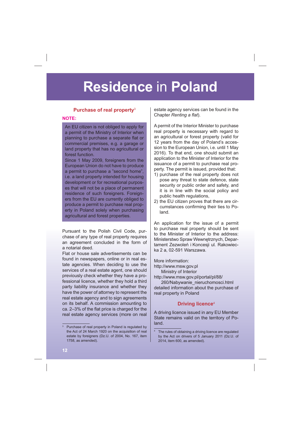### **Purchase of real property**<sup>3</sup>

#### **NOTE:**

An EU citizen is not obliged to apply for a permit of the Ministry of Interior when planning to purchase a separate flat or commercial premises, e.g. a garage or land property that has no agricultural or forest function.

Since 1 May 2009, foreigners from the European Union do not have to produce a permit to purchase a "second home", i.e. a land property intended for housing development or for recreational purposes that will not be a place of permanent residence of such foreigners. Foreigners from the EU are currently obliged to produce a permit to purchase real property in Poland solely when purchasing agricultural and forest properties.

Pursuant to the Polish Civil Code, purchase of any type of real property requires an agreement concluded in the form of a notarial deed.

Flat or house sale advertisements can be found in newspapers, online or in real estate agencies. When deciding to use the services of a real estate agent, one should previously check whether they have a professional licence, whether they hold a third party liability insurance and whether they have the power of attorney to represent the real estate agency and to sign agreements on its behalf. A commission amounting to ca.  $2-3%$  of the flat price is charged for the real estate agency services (more on real

estate agency services can be found in the Chapter *Renting a flat*).

A permit of the Interior Minister to purchase real property is necessary with regard to an agricultural or forest property (valid for 12 years from the day of Poland's accession to the European Union, i.e. until 1 May 2016). To that end, one should submit an application to the Minister of Interior for the issuance of a permit to purchase real property. The permit is issued, provided that:

- 1) purchase of the real property does not pose any threat to state defence, state security or public order and safety, and it is in line with the social policy and public health regulations,
- 2) the EU citizen proves that there are circumstances confirming their ties to Poland.

An application for the issue of a permit to purchase real property should be sent to the Minister of Interior to the address: Ministerstwo Spraw Wewnętrznych, Departament Zezwoleń i Koncesii ul. Rakowiecka 2 a, 02-591 Warszawa.

More information:

http://www.msw.gov.pl

Ministry of Interior http://www.msw.gov.pl/portal/pl/88/

260/Nabywanie\_nieruchomosci.html detailed information about the purchase of real property in Poland

### **Driving licence**<sup>4</sup>

A driving licence issued in any EU Member State remains valid on the territory of Poland.

Purchase of real property in Poland is regulated by the Act of 24 March 1920 on the acquisition of real estate by foreigners (Dz.U. of 2004, No. 167, item 1758, as amended).

<sup>4</sup> The rules of obtaining a driving licence are regulated by the Act on drivers of 5 January 2011 (Dz.U. of 2014, item 600, as amended).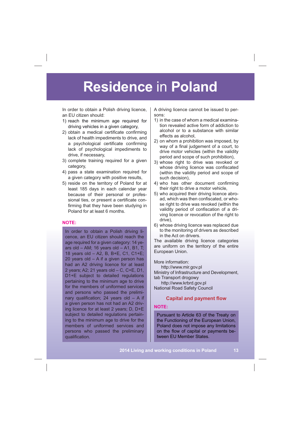In order to obtain a Polish driving licence, an EU citizen should:

- 1) reach the minimum age required for driving vehicles in a given category,
- 2) obtain a medical certificate confirming lack of health impediments to drive, and a psychological certificate confirming lack of psychological impediments to drive, if necessary,
- 3) complete training required for a given category,
- 4) pass a state examination required for a given category with positive results,
- 5) reside on the territory of Poland for at least 185 days in each calendar year because of their personal or professional ties, or present a certificate confirming that they have been studying in Poland for at least 6 months.

#### **NOTE:**

In order to obtain a Polish driving licence, an EU citizen should reach the age required for a given category: 14 years old  $-$  AM; 16 years old  $-$  A1, B1, T; 18 years old – A2, B, B+E, C1, C1+E; 20 years old – A if a given person has had an A2 driving licence for at least 2 years; A2; 21 years old – C, C+E, D1, D1+E subject to detailed regulations pertaining to the minimum age to drive for the members of uniformed services and persons who passed the preliminary qualification; 24 years old  $-$  A if a given person has not had an A2 driving licence for at least 2 years; D, D+E subject to detailed regulations pertaining to the minimum age to drive for the members of uniformed services and persons who passed the preliminary qualification.

A driving licence cannot be issued to persons:

- 1) in the case of whom a medical examination revealed active form of addiction to alcohol or to a substance with similar effects as alcohol,
- 2) on whom a prohibition was imposed, by way of a final judgement of a court, to drive motor vehicles (within the validity period and scope of such prohibition),
- 3) whose right to drive was revoked or whose driving licence was confiscated (within the validity period and scope of such decision),
- 4) who has other document confirming their right to drive a motor vehicle,
- 5) who acquired their driving licence abroad, which was then confiscated, or whose right to drive was revoked (within the validity period of confiscation of a driving licence or revocation of the right to drive),
- 6) whose driving licence was replaced due to the monitoring of drivers as described in the Act on drivers.

The available driving licence categories are uniform on the territory of the entire European Union.

More information:

http://www.mir.gov.pl Ministry of Infrastructure and Development, tab Transport drogowy http://www.krbrd.gov.pl

National Road Safety Council

### **Capital and payment flow**

### **NOTE:**

Pursuant to Article 63 of the Treaty on the Functioning of the European Union, Poland does not impose any limitations on the flow of capital or payments between EU Member States.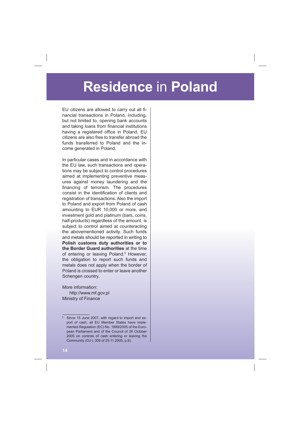EU citizens are allowed to carry out all financial transactions in Poland, including, but not limited to, opening bank accounts and taking loans from financial institutions having a registered office in Poland. EU citizens are also free to transfer abroad the funds transferred to Poland and the income generated in Poland.

In particular cases and in accordance with the EU law, such transactions and operations may be subject to control procedures aimed at implementing preventive measures against money laundering and the financing of terrorism. The procedures consist in the identification of clients and registration of transactions. Also the import to Poland and export from Poland of cash amounting to EUR 10,000 or more, and investment gold and platinum (bars, coins, half-products) regardless of the amount, is subject to control aimed at counteracting the abovementioned activity. Such funds and metals should be reported in writing to **Polish customs duty authorities or to the Border Guard authorities** at the time of entering or leaving Poland.<sup>5</sup> However, the obligation to report such funds and metals does not apply when the border of Poland is crossed to enter or leave another Schengen country.

More information: http://www.mf.gov.pl Ministry of Finance

<sup>5</sup> Since 15 June 2007, with regard to import and export of cash, all EU Member States have implemented Regulation (EC) No. 1889/2005 of the European Parliament and of the Council of 26 October 2005 on controls of cash entering or leaving the Community (OJ L 309 of 25.11.2005, p.9).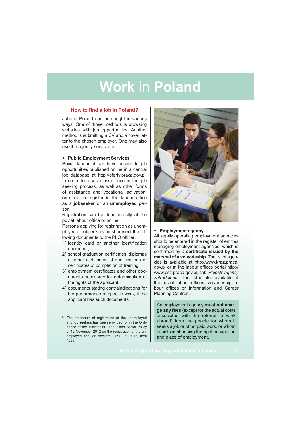### **How to find a job in Poland?**

Jobs in Poland can be sought in various ways. One of those methods is browsing websites with job opportunities. Another method is submitting a CV and a cover letter to the chosen employer. One may also use the agency services of:

#### • **Public Employment Services**

Poviat labour offices have access to job opportunities published online in a central job database at http://oferty.praca.gov.pl. In order to receive assistance in the job seeking process, as well as other forms of assistance and vocational activation, one has to register in the labour office as a **jobseeker** or an **unemployed** person.

Registration can be done directly at the poviat labour office or online.<sup>6</sup>

Persons applying for registration as unemployed or jobseekers must present the following documents to the PLO officer:

- 1) identity card or another identification document,
- 2) school graduation certificates, diplomas or other certificates of qualifications or certificates of completion of training,
- 3) employment certificates and other documents necessary for determination of the rights of the applicant,
- 4) documents stating contraindications for the performance of specific work, if the applicant has such documents.



#### • **Employment agency**

All legally operating employment agencies should be entered in the register of entities managing employment agencies, which is confirmed by a certificate issued by the **marshal of a voivodeship**. The list of agencies is available at http://www.kraz.praca. gov.pl or at the labour offices portal http:// www.psz.praca.gov.pl, tab *Rejestr agencji zatrudnienia*. The list is also available at the poviat labour offices, voivodeship labour offices or Information and Career Planning Centres.

An employment agency **must not charge any fees** (except for the actual costs associated with the referral to work abroad) from the people for whom it seeks a job or other paid work, or whom assists in choosing the right occupation and place of employment.

<sup>&</sup>lt;sup>6</sup> The procedure of registration of the unemployed and job seekers has been provided for in the Ordinance of the Minister of Labour and Social Policy of 12 November 2012 on the registration of the unemployed and job seekers (Dz.U. of 2012, item 1299).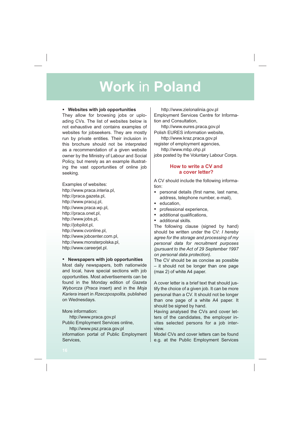### • **Websites with job opportunities**

They allow for browsing jobs or uploading CVs. The list of websites below is not exhaustive and contains examples of websites for jobseekers. They are mostly run by private entities. Their inclusion in this brochure should not be interpreted as a recommendation of a given website owner by the Ministry of Labour and Social Policy, but merely as an example illustrating the vast opportunities of online job seeking.

Examples of websites: http://www.praca.interia.pl, http://praca.gazeta.pl, http://www.pracuj.pl, http://www.praca.wp.pl, http://praca.onet.pl, http://www.jobs.pl, http://jobpilot.pl, http://www.cvonline.pl, http://www.jobcenter.com.pl, http://www.monsterpolska.pl, http://www.careerjet.pl.

### • **Newspapers with job opportunities**

Most daily newspapers, both nationwide and local, have special sections with job opportunities. Most advertisements can be found in the Monday edition of *Gazeta Wyborcza* (*Praca* insert) and in the *Moja Kariera* insert in *Rzeczpospolita*, published on Wednesdays.

More information:

http://www.praca.gov.pl Public Employment Services online, http://www.psz.praca.gov.pl

information portal of Public Employment Services,

http://www.zielonalinia.gov.pl Employment Services Centre for Information and Consultation,

http://www.eures.praca.gov.pl Polish EURES information website,

http://www.kraz.praca.gov.pl register of employment agencies, http://www.mbp.ohp.pl jobs posted by the Voluntary Labour Corps.

### **How to write a CV and a cover letter?**

A CV should include the following information:

- personal details (first name, last name, address, telephone number, e-mail),
- education,
- professional experience,
- additional qualifications,
- additional skills.

The following clause (signed by hand) should be written under the CV: *I hereby agree for the storage and processing of my personal data for recruitment purposes (pursuant to the Act of 29 September 1997 on personal data protection)*.

The CV should be as concise as possible – it should not be longer than one page (max 2) of white A4 paper.

A cover letter is a brief text that should justify the choice of a given job. It can be more personal than a CV. It should not be longer than one page of a white A4 paper. It should be signed by hand.

Having analysed the CVs and cover letters of the candidates, the employer invites selected persons for a job interview.

Model CVs and cover letters can be found e.g. at the Public Employment Services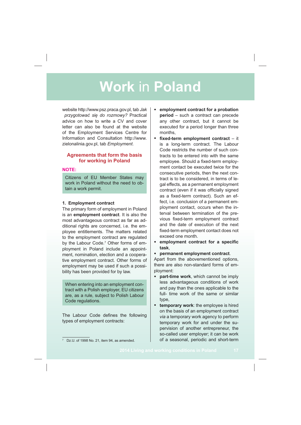website http://www.psz.praca.gov.pl, tab *Jak* przygotować się do rozmowy? Practical advice on how to write a CV and cover letter can also be found at the website of the Employment Services Centre for Information and Consultation http://www. zielonalinia.gov.pl, tab *Employment*.

### **Agreements that form the basis for working in Poland**

### **NOTE:**

Citizens of EU Member States may work in Poland without the need to obtain a work permit.

### **1. Employment contract**

The primary form of employment in Poland is an **employment contract**. It is also the most advantageous contract as far as additional rights are concerned, i.e. the employee entitlements. The matters related to the employment contract are regulated by the Labour Code.<sup>7</sup> Other forms of employment in Poland include an appointment, nomination, election and a cooperative employment contract. Other forms of employment may be used if such a possibility has been provided for by law.

When entering into an employment contract with a Polish employer, EU citizens are, as a rule, subject to Polish Labour Code regulations.

The Labour Code defines the following types of employment contracts:

- **- xed-term employment contract**  it is a long-term contract. The Labour Code restricts the number of such contracts to be entered into with the same employee. Should a fixed-term employment contact be executed twice for the consecutive periods, then the next contract is to be considered, in terms of legal effects, as a permanent employment contract (even if it was officially signed as a fixed-term contract). Such an effect, i.e. conclusion of a permanent employment contact, occurs when the interval between termination of the previous fixed-term employment contract and the date of execution of the next fixed-term employment contact does not exceed one month.
- employment contract for a specific **task**,
- **permanent employment contract**.

Apart from the abovementioned options, there are also non-standard forms of employment:

- **part-time work**, which cannot be imply less advantageous conditions of work and pay than the ones applicable to the full- time work of the same or similar type,
- **temporary work**: the employee is hired on the basis of an employment contract *via* a temporary work agency to perform temporary work for and under the supervision of another entrepreneur, the so-called user employer; it can be work of a seasonal, periodic and short-term

<sup>•</sup> **employment contract for a probation period** – such a contract can precede any other contract, but it cannot be executed for a period longer than three months,

<sup>7</sup> Dz.U. of 1998 No. 21, item 94, as amended.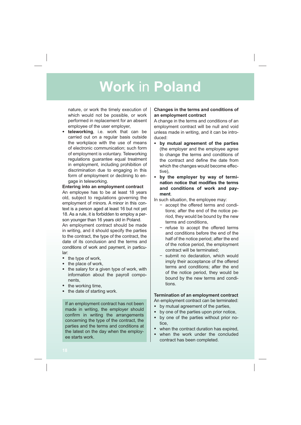nature, or work the timely execution of which would not be possible, or work performed in replacement for an absent employee of the user employer,

• **teleworking**, i.e. work that can be carried out on a regular basis outside the workplace with the use of means of electronic communication; such form of employment is voluntary. Teleworking regulations guarantee equal treatment in employment, including prohibition of discrimination due to engaging in this form of employment or declining to engage in teleworking.

### **Entering into an employment contract**

An employee has to be at least 18 years old, subject to regulations governing the employment of minors. A minor in this context is a person aged at least 16 but not yet 18. As a rule, it is forbidden to employ a person younger than 16 years old in Poland.

An employment contract should be made in writing, and it should specify the parties to the contract, the type of the contract, the date of its conclusion and the terms and conditions of work and payment, in particular:

- the type of work,
- the place of work,
- the salary for a given type of work, with information about the payroll components,
- the working time,
- the date of starting work.

If an employment contract has not been made in writing, the employer should confirm in writing the arrangements concerning the type of the contract, the parties and the terms and conditions at the latest on the day when the employee starts work.

### **Changes in the terms and conditions of an employment contract**

A change in the terms and conditions of an employment contract will be null and void unless made in writing, and it can be introduced:

- **by mutual agreement of the parties** (the employer and the employee agree to change the terms and conditions of the contract and define the date from which the changes would become effective),
- **by the employer by way of termi**nation notice that modifies the terms **and conditions of work and payment**.

In such situation, the employee may:

- accept the offered terms and conditions; after the end of the notice period, they would be bound by the new terms and conditions,
- $-$  refuse to accept the offered terms and conditions before the end of the half of the notice period; after the end of the notice period, the employment contract will be terminated;
- submit no declaration, which would imply their acceptance of the offered terms and conditions; after the end of the notice period, they would be bound by the new terms and conditions.

### **Termination of an employment contract**

An employment contract can be terminated:

- by mutual agreement of the parties,
- by one of the parties upon prior notice,
- by one of the parties without prior notice,
- when the contract duration has expired.
- when the work under the concluded contract has been completed.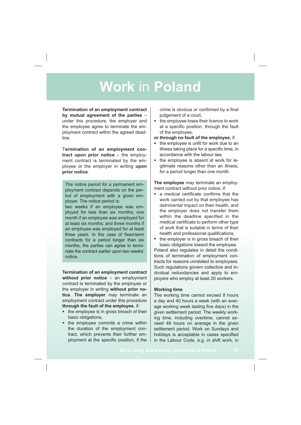**Termination of an employment contract by mutual agreement of the parties** – under this procedure, the employer and the employee agree to terminate the employment contract within the agreed deadline.

T**ermination of an employment contract upon prior notice** – the employment contract is terminated by the employee or the employer in writing **upon prior notice**.

The notice period for a permanent employment contract depends on the period of employment with a given employer. The notice period is:

two weeks if an employee was employed for less than six months; one month if an employee was employed for at least six months; and three months if an employee was employed for at least three years. In the case of fixed-term contracts for a period longer than six months, the parties can agree to terminate the contract earlier upon two weeks' notice.

**Termination of an employment contract without prior notice** – an employment contract is terminated by the employee or the employer in writing **without prior notice. The employer** may terminate an employment contract under this procedure **through the fault of the employee**, if:

- the employee is in gross breach of their basic obligations,
- the employee commits a crime within the duration of the employment contract, which prevents their further employment at the specific position, if the

crime is obvious or confirmed by a final judgement of a court,

- the employee loses their licence to work at a specific position, through the fault of the employee,
- **or through no fault of the employee**, if:
- the employee is unfit for work due to an illness taking place for a specific time, in accordance with the labour law,
- the employee is absent at work for legitimate reasons other than an illness, for a period longer than one month.

**The employee** may terminate an employment contract without prior notice, if:

- $\bullet$  a medical certificate confirms that the work carried out by that employee has detrimental impact on their health, and the employer does not transfer them within the deadline specified in the medical certificate to perform other type of work that is suitable in terms of their health and professional qualifications,
- the employer is in gross breach of their basic obligations toward the employee.

Poland also regulates in detail the conditions of termination of employment contracts for reasons unrelated to employees. Such regulations govern collective and individual redundancies and apply to employers who employ at least 20 workers.

#### **Working time**

The working time cannot exceed 8 hours a day and 40 hours a week (with an average working week lasting five days) in the given settlement period. The weekly working time, including overtime, cannot exceed 48 hours on average in the given settlement period. Work on Sundays and holidays is acceptable in cases specified in the Labour Code, e.g. in shift work, in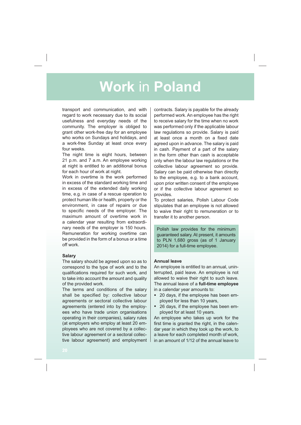transport and communication, and with regard to work necessary due to its social usefulness and everyday needs of the community. The employer is obliged to grant other work-free day for an employee who works on Sundays and holidays, and a work-free Sunday at least once every four weeks.

The night time is eight hours, between 21 p.m. and 7 a.m. An employee working at night is entitled to an additional bonus for each hour of work at night.

Work in overtime is the work performed in excess of the standard working time and in excess of the extended daily working time, e.g. in case of a rescue operation to protect human life or health, property or the environment, in case of repairs or due to specific needs of the employer. The maximum amount of overtime work in a calendar year resulting from extraordinary needs of the employer is 150 hours. Remuneration for working overtime can be provided in the form of a bonus or a time off work.

### **Salary**

The salary should be agreed upon so as to correspond to the type of work and to the qualifications required for such work, and to take into account the amount and quality of the provided work.

The terms and conditions of the salary shall be specified by: collective labour agreements or sectoral collective labour agreements (entered into by the employees who have trade union organisations operating in their companies), salary rules (at employers who employ at least 20 employees who are not covered by a collective labour agreement or a sectoral collective labour agreement) and employment contracts. Salary is payable for the already performed work. An employee has the right to receive salary for the time when no work was performed only if the applicable labour law regulations so provide. Salary is paid at least once a month on a fixed date agreed upon in advance. The salary is paid in cash. Payment of a part of the salary in the form other than cash is acceptable only when the labour law regulations or the collective labour agreement so provide. Salary can be paid otherwise than directly to the employee, e.g. to a bank account, upon prior written consent of the employee or if the collective labour agreement so provides.

To protect salaries, Polish Labour Code stipulates that an employee is not allowed to waive their right to remuneration or to transfer it to another person.

Polish law provides for the minimum guaranteed salary. At present, it amounts to PLN 1,680 gross (as of 1 January 2014) for a full-time employee.

### **Annual leave**

An employee is entitled to an annual, uninterrupted, paid leave. An employee is not allowed to waive their right to such leave. The annual leave of a **full-time employee** in a calendar year amounts to:

- 20 days, if the employee has been employed for less than 10 years,
- 26 days, if the employee has been employed for at least 10 years.

An employee who takes up work for the first time is granted the right, in the calendar year in which they took up the work, to a leave for each completed month of work, in an amount of 1/12 of the annual leave to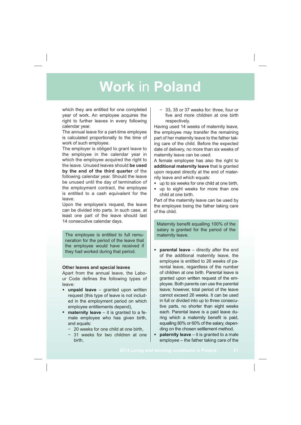which they are entitled for one completed year of work. An employee acquires the right to further leaves in every following calendar year.

The annual leave for a part-time employee is calculated proportionally to the time of work of such employee.

The employer is obliged to grant leave to the employee in the calendar year in which the employee acquired the right to the leave. Unused leaves should **be used by the end of the third quarter** of the following calendar year. Should the leave be unused until the day of termination of the employment contract, the employee is entitled to a cash equivalent for the leave.

Upon the employee's request, the leave can be divided into parts. In such case, at least one part of the leave should last 14 consecutive calendar days.

The employee is entitled to full remuneration for the period of the leave that the employee would have received if they had worked during that period.

#### **Other leaves and special leaves**

Apart from the annual leave, the Labour Code defines the following types of leave:

- **unpaid leave** granted upon written request (this type of leave is not included in the employment period on which employee entitlements depend),
- **maternity leave** it is granted to a female employee who has given birth, and equals:
	- 20 weeks for one child at one birth.
	- 31 weeks for two children at one birth,

 33, 35 or 37 weeks for: three, four or five and more children at one birth respectively.

Having used 14 weeks of maternity leave, the employee may transfer the remaining part of her maternity leave to the father taking care of the child. Before the expected date of delivery, no more than six weeks of maternity leave can be used.

A female employee has also the right to **additional maternity leave** that is granted upon request directly at the end of maternity leave and which equals:

- up to six weeks for one child at one birth,
- up to eight weeks for more than one child at one birth.

Part of the maternity leave can be used by the employee being the father taking care of the child.

Maternity benefit equalling 100% of the salary is granted for the period of the maternity leave.

- **parental leave** directly after the end of the additional maternity leave, the employee is entitled to 26 weeks of parental leave, regardless of the number of children at one birth. Parental leave is granted upon written request of the employee. Both parents can use the parental leave; however, total period of the leave cannot exceed 26 weeks. It can be used in full or divided into up to three consecutive parts, no shorter than eight weeks each. Parental leave is a paid leave during which a maternity benefit is paid, equalling 80% or 60% of the salary, depending on the chosen settlement method,
- **paternity leave** it is granted to a male employee – the father taking care of the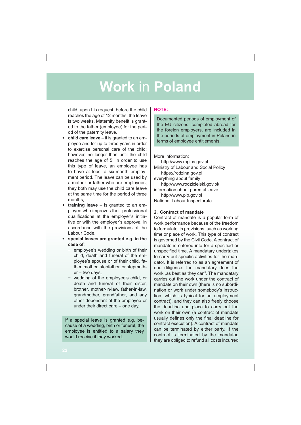child, upon his request, before the child reaches the age of 12 months; the leave is two weeks. Maternity benefit is granted to the father (employee) for the period of the paternity leave.

- **child care leave** it is granted to an employee and for up to three years in order to exercise personal care of the child; however, no longer than until the child reaches the age of 5; in order to use this type of leave, an employee has to have at least a six-month employment period. The leave can be used by a mother or father who are employees; they both may use the child care leave at the same time for the period of three months,
- **training leave** is granted to an employee who improves their professional qualifications at the employer's initiative or with the employer's approval in accordance with the provisions of the Labour Code,
- **special leaves are granted e.g. in the case of**:
	- $-$  employee's wedding or birth of their child, death and funeral of the employee's spouse or of their child, father, mother, stepfather, or stepmother – two days,
	- wedding of the employee's child, or death and funeral of their sister, brother, mother-in-law, father-in-law, grandmother, grandfather, and any other dependant of the employee or under their direct care – one day.

If a special leave is granted e.g. because of a wedding, birth or funeral, the employee is entitled to a salary they would receive if they worked.

### **NOTE:**

Documented periods of employment of the EU citizens, completed abroad for the foreign employers, are included in the periods of employment in Poland in terms of employee entitlements.

More information:

http://www.mpips.gov.pl Ministry of Labour and Social Policy https://rodzina.gov.pl everything about family http://www.rodzicielski.gov.pl/ information about parental leave http://www.pip.gov.pl National Labour Inspectorate

### **2. Contract of mandate**

Contract of mandate is a popular form of work performance because of the freedom to formulate its provisions, such as working time or place of work. This type of contract is governed by the Civil Code. A contract of mandate is entered into for a specified or unspecified time. A mandatary undertakes to carry out specific activities for the mandator. It is referred to as an agreement of due diligence: the mandatary does the work "as best as they can". The mandatary carries out the work under the contract of mandate on their own (there is no subordination or work under somebody's instruction, which is typical for an employment contract), and they can also freely choose the deadline and place to carry out the work on their own (a contract of mandate usually defines only the final deadline for contract execution). A contract of mandate can be terminated by either party. If the contract is terminated by the mandator, they are obliged to refund all costs incurred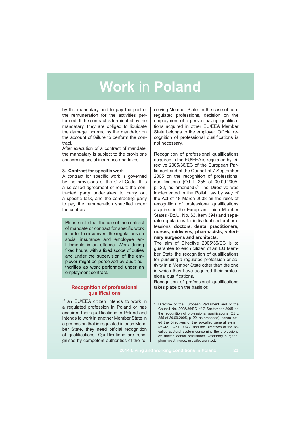by the mandatary and to pay the part of the remuneration for the activities performed. If the contract is terminated by the mandatary, they are obliged to liquidate the damage incurred by the mandator on the account of failure to perform the contract.

After execution of a contract of mandate, the mandatary is subject to the provisions concerning social insurance and taxes.

#### **3. Contract for specific work**

A contract for specific work is governed by the provisions of the Civil Code. It is a so-called agreement of result: the contracted party undertakes to carry out a specific task, and the contracting party to pay the remuneration specified under the contract.

Please note that the use of the contract of mandate or contract for specific work in order to circumvent the regulations on social insurance and employee entitlements is an offence. Work during fixed hours, with a fixed scope of duties and under the supervision of the employer might be perceived by audit authorities as work performed under an employment contract.

### **Recognition of professional gualifications**

If an EU/EEA citizen intends to work in a regulated profession in Poland or has acquired their qualifications in Poland and intends to work in another Member State in a profession that is regulated in such Member State, they need official recognition of qualifications. Qualifications are recognised by competent authorities of the receiving Member State. In the case of nonregulated professions, decision on the employment of a person having qualifications acquired in other EU/EEA Member State belongs to the employer. Official recognition of professional qualifications is not necessary.

Recognition of professional qualifications acquired in the EU/EEA is regulated by Directive 2005/36/EC of the European Parliament and of the Council of 7 September 2005 on the recognition of professional qualifications (OJ L 255 of 30.09.2005, p. 22, as amended).<sup>8</sup> The Directive was implemented in the Polish law by way of the Act of 18 March 2008 on the rules of recognition of professional qualifications acquired in the European Union Member States (Dz.U. No. 63, item 394) and separate regulations for individual sectoral professions: **doctors, dental practitioners, nurses, midwives, pharmacists, veterinary surgeons and architects**.

The aim of Directive 2005/36/EC is to guarantee to each citizen of an EU Member State the recognition of qualifications for pursuing a regulated profession or activity in a Member State other than the one in which they have acquired their professional qualifications.

Recognition of professional qualifications takes place on the basis of:

<sup>8</sup> Directive of the European Parliament and of the Council No. 2005/36/EC of 7 September 2005 on the recognition of professional qualifications (OJ L 255 of 30.09.2005, p. 22, as amended), consolidated the Directives of the so-called general system (89/48, 92/51, 99/42) and the Directives of the socalled sectoral system concerning the professions of: doctor, dental practitioner, veterinary surgeon, pharmacist, nurse, midwife, architect.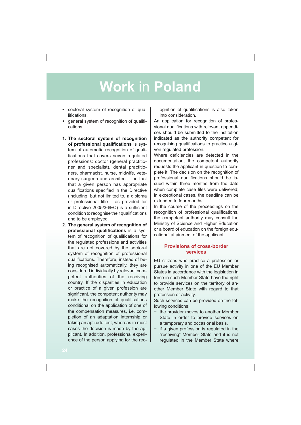- sectoral system of recognition of qualifications,
- general system of recognition of qualifications.
- **1. The sectoral system of recognition of professional qualifications** is system of automatic recognition of quali fications that covers seven regulated professions: doctor (general practitioner and specialist), dental practitioners, pharmacist, nurse, midwife, veterinary surgeon and architect. The fact that a given person has appropriate qualifications specified in the Directive (including, but not limited to, a diploma or professional title – as provided for in Directive 2005/36/EC) is a sufficient condition to recognise their qualifications and to be employed.
- **2. The general system of recognition of professional qualifications** is a system of recognition of qualifications for the regulated professions and activities that are not covered by the sectoral system of recognition of professional qualifications. Therefore, instead of being recognised automatically, they are considered individually by relevant competent authorities of the receiving country. If the disparities in education or practice of a given profession are significant, the competent authority may make the recognition of qualifications conditional on the application of one of the compensation measures, i.e. completion of an adaptation internship or taking an aptitude test, whereas in most cases the decision is made by the applicant. In addition, professional experience of the person applying for the rec-

ognition of qualifications is also taken into consideration.

An application for recognition of professional qualifications with relevant appendices should be submitted to the institution indicated as the authority competent for recognising qualifications to practice a given regulated profession.

Where deficiencies are detected in the documentation, the competent authority requests the applicant in question to complete it. The decision on the recognition of professional qualifications should be issued within three months from the date when complete case files were delivered; in exceptional cases, the deadline can be extended to four months.

In the course of the proceedings on the recognition of professional qualifications, the competent authority may consult the Ministry of Science and Higher Education or a board of education on the foreign educational attainment of the applicant.

### **Provisions of cross-border services**

EU citizens who practice a profession or pursue activity in one of the EU Member States in accordance with the legislation in force in such Member State have the right to provide services on the territory of another Member State with regard to that profession or activity.

Such services can be provided on the following conditions:

- $-$  the provider moves to another Member State in order to provide services on a temporary and occasional basis,
- $-$  if a given profession is regulated in the "receiving" Member State and it is not regulated in the Member State where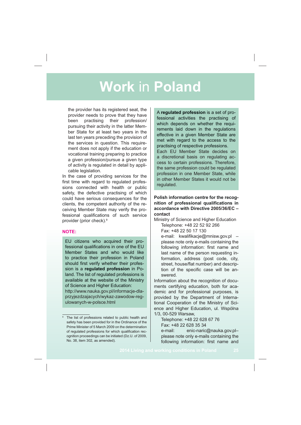the provider has its registered seat, the provider needs to prove that they have been practising their profession/ pursuing their activity in the latter Member State for at least two years in the last ten years preceding the provision of the services in question. This requirement does not apply if the education or vocational training preparing to practice a given profession/pursue a given type of activity is regulated in detail by applicable legislation.

In the case of providing services for the first time with regard to regulated professions connected with health or public safety, the defective practising of which could have serious consequences for the clients, the competent authority of the receiving Member State may verify the professional qualifications of such service provider (prior check).9

### **NOTE:**

EU citizens who acquired their professional qualifications in one of the EU Member States and who would like to practice their profession in Poland should first verify whether their profession is a **regulated profession** in Poland. The list of regulated professions is available at the website of the Ministry of Science and Higher Education: http://www.nauka.gov.pl/informacje-dla-

przyjezdzajacych/wykaz-zawodow-regulowanych-w-polsce.html

A **regulated profession** is a set of professional activities the practising of which depends on whether the requirements laid down in the regulations effective in a given Member State are met with regard to the access to the practising of respective professions. Each EU Member State decides on

a discretional basis on regulating access to certain professions. Therefore, the same profession could be regulated profession in one Member State, while in other Member States it would not be regulated.

### **Polish information centre for the recog**nition of professional qualifications in **accordance with Directive 2005/36/EC – contact**

Ministry of Science and Higher Education Telephone: +48 22 52 92 266

Fax: +48 22 50 17 130

e-mail: kwalifikacje@mnisw.gov.pl please note only e-mails containing the following information: first name and last name of the person requesting information, address (post code, city, street, house/flat number) and description of the specific case will be answered.

Information about the recognition of documents certifying education, both for academic and for professional purposes, is provided by the Department of International Cooperation of the Ministry of Science and Higher Education, ul. Wspólna 1/3, 00-529 Warsaw,

Telephone: +48 22 628 67 76 Fax: +48 22 628 35 34

e-mail: enic-naric@nauka.gov.plplease note only e-mails containing the following information: first name and

<sup>&</sup>lt;sup>9</sup> The list of professions related to public health and safety has been provided for in the Ordinance of the Prime Minister of 5 March 2009 on the determination of regulated professions for which qualification recognition proceedings can be initiated (Dz.U. of 2009, No. 38, item 302, as amended).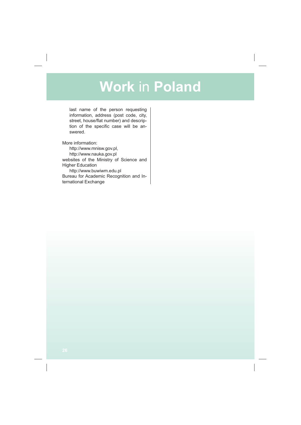last name of the person requesting information, address (post code, city, street, house/flat number) and description of the specific case will be answered.

More information:

http://www.mnisw.gov.pl, http://www.nauka.gov.pl websites of the Ministry of Science and Higher Education http://www.buwiwm.edu.pl Bureau for Academic Recognition and International Exchange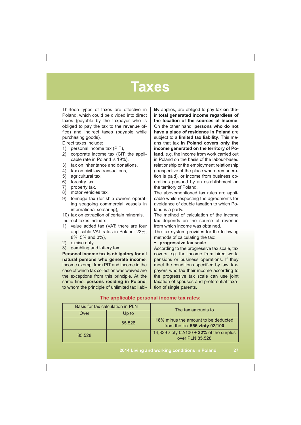### **Taxes**

Thirteen types of taxes are effective in Poland, which could be divided into direct taxes (payable by the taxpayer who is obliged to pay the tax to the revenue of fice) and indirect taxes (payable while purchasing goods).

Direct taxes include:

- 1) personal income tax (PIT),
- 2) corporate income tax (CIT; the applicable rate in Poland is 19%),
- 3) tax on inheritance and donations,
- 4) tax on civil law transactions,
- 5) agricultural tax,
- 6) forestry tax,
- 7) property tax,
- 8) motor vehicles tax,
- 9) tonnage tax (for ship owners operating seagoing commercial vessels in international seafaring),
- 10) tax on extraction of certain minerals. Indirect taxes include:
- 1) value added tax (VAT; there are four applicable VAT rates in Poland: 23%, 8%, 5% and 0%),
- 2) excise duty,
- 3) gambling and lottery tax.

**Personal income tax is obligatory for all natural persons who generate income**. Income exempt from PIT and income in the case of which tax collection was waived are the exceptions from this principle. At the same time, **persons residing in Poland**, to whom the principle of unlimited tax liabi-

lity applies, are obliged to pay tax **on their total generated income regardless of the location of the sources of income**. On the other hand, **persons who do not have a place of residence in Poland** are subject to a **limited tax liability**. This means that tax **in Poland covers only the income generated on the territory of Poland**, e.g. the income from work carried out in Poland on the basis of the labour-based relationship or the employment relationship (irrespective of the place where remuneration is paid), or income from business operations pursued by an establishment on the territory of Poland.

The abovementioned tax rules are applicable while respecting the agreements for avoidance of double taxation to which Poland is a party.

The method of calculation of the income tax depends on the source of revenue from which income was obtained.

The tax system provides for the following methods of calculating the tax:

• **progressive tax scale**

According to the progressive tax scale, tax covers e.g. the income from hired work, pensions or business operations. If they meet the conditions specified by law, taxpayers who tax their income according to the progressive tax scale can use joint taxation of spouses and preferential taxation of single parents.

|        | Basis for tax calculation in PLN | The tax amounts to                                                          |  |
|--------|----------------------------------|-----------------------------------------------------------------------------|--|
| Over   | Up to                            |                                                                             |  |
|        | 85.528                           | <b>18%</b> minus the amount to be deducted<br>from the tax 556 zloty 02/100 |  |
| 85,528 |                                  | 14,839 zloty $02/100 + 32%$ of the surplus<br>over PLN 85,528               |  |

#### **The applicable personal income tax rates:**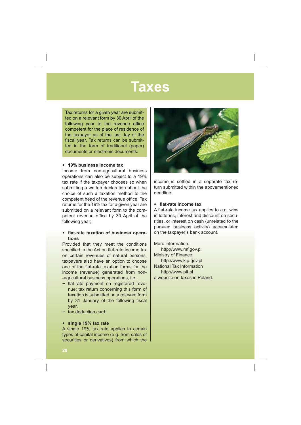### **Taxes**

Tax returns for a given year are submitted on a relevant form by 30 April of the following year to the revenue office competent for the place of residence of the taxpayer as of the last day of the fiscal year. Tax returns can be submitted in the form of traditional (paper) documents or electronic documents.

#### • **19% business income tax**

Income from non-agricultural business operations can also be subject to a 19% tax rate if the taxpayer chooses so when submitting a written declaration about the choice of such a taxation method to the competent head of the revenue office. Tax returns for the 19% tax for a given year are submitted on a relevant form to the competent revenue office by 30 April of the following year;

#### $\cdot$  flat-rate taxation of business opera**tions**

Provided that they meet the conditions specified in the Act on flat-rate income tax on certain revenues of natural persons, taxpayers also have an option to choose one of the flat-rate taxation forms for the income (revenue) generated from non- -agricultural business operations, i.e.:

- flat-rate payment on registered revenue: tax return concerning this form of taxation is submitted on a relevant form by 31 January of the following fiscal year,
- $-$  tax deduction card:

#### • **single 19% tax rate**

A single 19% tax rate applies to certain types of capital income (e.g. from sales of securities or derivatives) from which the



income is settled in a separate tax return submitted within the abovementioned deadline;

#### • flat-rate income tax

A flat-rate income tax applies to e.g. wins in lotteries, interest and discount on securities, or interest on cash (unrelated to the pursued business activity) accumulated on the taxpayer's bank account.

More information: http://www.mf.gov.pl Ministry of Finance http://www.kip.gov.pl National Tax Information http://www.pit.pl a website on taxes in Poland.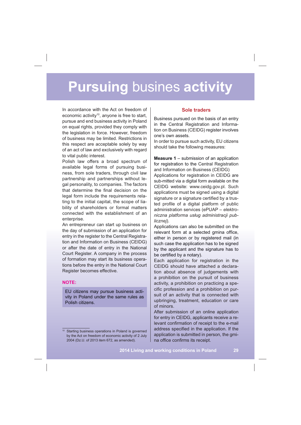In accordance with the Act on freedom of economic activity<sup>10</sup>, anyone is free to start, pursue and end business activity in Poland on equal rights, provided they comply with the legislation in force. However, freedom of business may be limited. Restrictions in this respect are acceptable solely by way of an act of law and exclusively with regard to vital public interest.

Polish law offers a broad spectrum of available legal forms of pursuing business, from sole traders, through civil law partnership and partnerships without legal personality, to companies. The factors that determine the final decision on the legal form include the requirements relating to the initial capital, the scope of liability of shareholders or formal matters connected with the establishment of an enterprise.

An entrepreneur can start up business on the day of submission of an application for entry in the register to the Central Registration and Information on Business (CEIDG) or after the date of entry in the National Court Register. A company in the process of formation may start its business operations before the entry in the National Court Register becomes effective.

### **NOTE:**

EU citizens may pursue business activity in Poland under the same rules as Polish citizens.

### **Sole traders**

Business pursued on the basis of an entry in the Central Registration and Information on Business (CEIDG) register involves one's own assets.

In order to pursue such activity, EU citizens should take the following measures:

**Measure 1** – submission of an application for registration to the Central Registration and Information on Business (CEIDG) Applications for registration in CEIDG are sub-mitted via a digital form available on the CEIDG website: www.ceidg.gov.pl. Such applications must be signed using a digital signature or a signature certified by a trusted profile of a digital platform of public administration services (ePUAP – *elektro*niczna platforma usług administracji pub*licznej*).

Applications can also be submitted on the relevant form at a selected gmina office, either in person or by registered mail (in such case the application has to be signed by the applicant and the signature has to be certified by a notary).

Each application for registration in the CEIDG should have attached a declaration about absence of judgements with a prohibition on the pursuit of business activity, a prohibition on practicing a specific profession and a prohibition on pursuit of an activity that is connected with upbringing, treatment, education or care of minors.

After submission of an online application for entry in CEIDG, applicants receive a relevant confirmation of receipt to the e-mail address specified in the application. If the application is submitted in person, the gmina office confirms its receipt.

Starting business operations in Poland is governed by the Act on freedom of economic activity of 2 July 2004 (Dz.U. of 2013 item 672, as amended).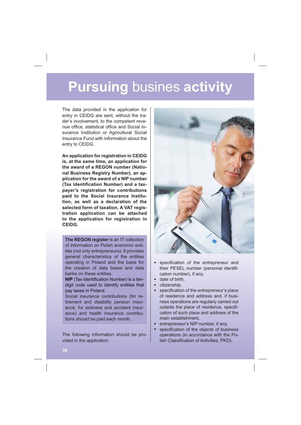The data provided in the application for entry in CEIDG are sent, without the trader's involvement, to the competent revenue office, statistical office and Social Insurance Institution or Agricultural Social Insurance Fund with information about the entry to CEIDG.

**An application for registration in CEIDG is, at the same time, an application for the award of a REGON number (National Business Registry Number), an application for the award of a NIP number**  (Tax Identification Number) and a tax**payer's registration for contributions paid to the Social Insurance Institution, as well as a declaration of the selected form of taxation. A VAT registration application can be attached to the application for registration in CEIDG.**

**The REGON register** is an IT collection of information on Polish economic entities (not only entrepreneurs). It provides general characteristics of the entities operating in Poland and the basis for the creation of data bases and data banks on these entities.

**NIP** (Tax Identification Number) is a tendigit code used to identify entities that pay taxes in Poland.

Social insurance contributions (for retirement and disability pension insurance, for sickness and accident insurance) and health insurance contributions should be paid each month.

The following information should be provided in the application:



- specification of the entrepreneur and their PESEL number (personal identification number), if any,
- date of birth,
- citizenship,
- specification of the entrepreneur's place of residence and address and, if business operations are regularly carried out outside the place of residence, specification of such place and address of the main establishment,
- entrepreneur's NIP number, if any.
- specification of the objects of business operations (in accordance with the Polish Classification of Activities, PKD),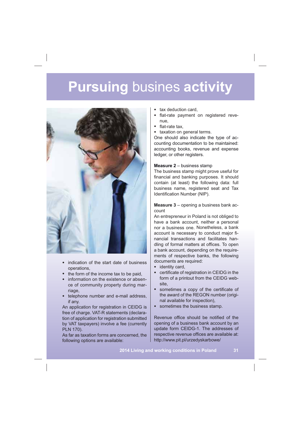

- indication of the start date of business operations,
- the form of the income tax to be paid.
- information on the existence or absence of community property during marriage,
- telephone number and e-mail address, if any.

An application for registration in CEIDG is free of charge. VAT-R statements (declaration of application for registration submitted by VAT taxpayers) involve a fee (currently PLN 170).

As far as taxation forms are concerned, the following options are available:

- tax deduction card.
- flat-rate payment on registered revenue,
- $\bullet$  flat-rate tax.
- taxation on general terms.

One should also indicate the type of accounting documentation to be maintained: accounting books, revenue and expense ledger, or other registers.

#### **Measure 2** – business stamp

The business stamp might prove useful for financial and banking purposes. It should contain (at least) the following data: full business name, registered seat and Tax Identification Number (NIP).

**Measure 3** – opening a business bank account

An entrepreneur in Poland is not obliged to have a bank account, neither a personal nor a business one. Nonetheless, a bank account is necessary to conduct major financial transactions and facilitates handling of formal matters at offices. To open a bank account, depending on the requirements of respective banks, the following documents are required:

- identity card,
- $\bullet$  certificate of registration in CEIDG in the form of a printout from the CEIDG website,
- sometimes a copy of the certificate of the award of the REGON number (original available for inspection),
- sometimes the business stamp.

Revenue office should be notified of the opening of a business bank account by an update form CEIDG-1. The addresses of respective revenue offices are available at: http://www.pit.pl/urzedyskarbowe/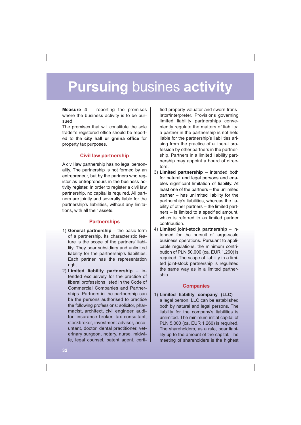**Measure 4** – reporting the premises where the business activity is to be pursued

The premises that will constitute the sole trader's registered office should be reported to the **city hall or gmina office** for property tax purposes.

### **Civil law partnership**

A civil law partnership has no legal personality. The partnership is not formed by an entrepreneur, but by the partners who register as entrepreneurs in the business activity register. In order to register a civil law partnership, no capital is required. All partners are jointly and severally liable for the partnership's liabilities, without any limitations, with all their assets.

### **Partnerships**

- 1) **General partnership** the basic form of a partnership. Its characteristic feature is the scope of the partners' liability. They bear subsidiary and unlimited liability for the partnership's liabilities. Each partner has the representation right.
- 2) **Limited liability partnership** intended exclusively for the practice of liberal professions listed in the Code of Commercial Companies and Partnerships. Partners in the partnership can be the persons authorised to practice the following professions: solicitor, pharmacist, architect, civil engineer, auditor, insurance broker, tax consultant, stockbroker, investment adviser, accountant, doctor, dental practitioner, veterinary surgeon, notary, nurse, midwife, legal counsel, patent agent, certi-

fied property valuator and sworn translator/interpreter. Provisions governing limited liability partnerships conveniently regulate the matters of liability: a partner in the partnership is not held liable for the partnership's liabilities arising from the practice of a liberal profession by other partners in the partnership. Partners in a limited liability partnership may appoint a board of directors.

- 3) **Limited partnership** intended both for natural and legal persons and enables significant limitation of liability. At least one of the partners – the unlimited partner – has unlimited liability for the partnership's liabilities, whereas the liability of other partners – the limited part $ners - is limited to a specified amount,$ which is referred to as limited partner contribution.
- 4) **Limited joint-stock partnership** intended for the pursuit of large-scale business operations. Pursuant to applicable regulations, the minimum contribution of PLN 50,000 (ca. EUR 1,260) is required. The scope of liability in a limited joint-stock partnership is regulated the same way as in a limited partnership.

### **Companies**

1) **Limited liability company (LLC)** – a legal person. LLC can be established both by natural and legal persons. The liability for the company's liabilities is unlimited. The minimum initial capital of PLN 5,000 (ca. EUR 1,260) is required. The shareholders, as a rule, bear liability up to the amount of the capital. The meeting of shareholders is the highest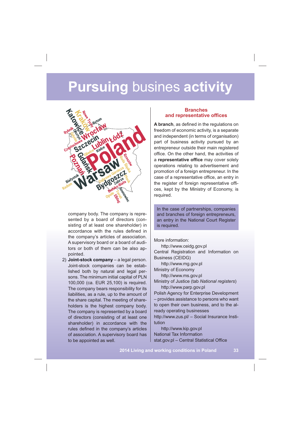

company body. The company is represented by a board of directors (consisting of at least one shareholder) in accordance with the rules defined in the company's articles of association. A supervisory board or a board of auditors or both of them can be also appointed.

2) **Joint-stock company** – a legal person. Joint-stock companies can be established both by natural and legal persons. The minimum initial capital of PLN 100,000 (ca. EUR 25,100) is required. The company bears responsibility for its liabilities, as a rule, up to the amount of the share capital. The meeting of shareholders is the highest company body. The company is represented by a board of directors (consisting of at least one shareholder) in accordance with the rules defined in the company's articles of association. A supervisory board has to be appointed as well.

### **Branches**  and representative offices

A branch, as defined in the regulations on freedom of economic activity, is a separate and independent (in terms of organisation) part of business activity pursued by an entrepreneur outside their main registered office. On the other hand, the activities of a representative office may cover solely operations relating to advertisement and promotion of a foreign entrepreneur. In the case of a representative office, an entry in the register of foreign representative offices, kept by the Ministry of Economy, is required.

In the case of partnerships, companies and branches of foreign entrepreneurs. an entry in the National Court Register is required.

More information: http://www.ceidg.gov.pl Central Registration and Information on Business (CEIDG) http://www.mg.gov.pl Ministry of Economy http://www.ms.gov.pl Ministry of Justice (tab *National registers*) http://www.parp.gov.pl Polish Agency for Enterprise Development – provides assistance to persons who want to open their own business, and to the already operating businesses http://www.zus.pl/ – Social Insurance Institution http://www.kip.gov.pl

National Tax Information

stat.gov.pl - Central Statistical Office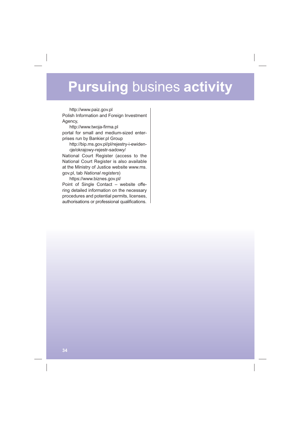http://www.paiz.gov.pl Polish Information and Foreign Investment Agency,

http://www.twoja-firma.pl portal for small and medium-sized enterprises run by Bankier.pl Group

http://bip.ms.gov.pl/pl/rejestry-i-ewidencje/okrajowy-rejestr-sadowy/

National Court Register (access to the National Court Register is also available at the Ministry of Justice website www.ms. gov.pl, tab *National registers*)

https://www.biznes.gov.pl/ Point of Single Contact – website offering detailed information on the necessary procedures and potential permits, licenses, authorisations or professional qualifications.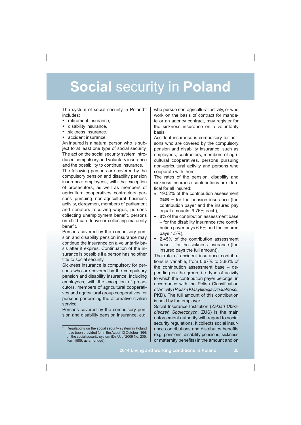The system of social security in Poland<sup>11</sup> includes:

- retirement insurance,<br>• disability insurance
- disability insurance,
- sickness insurance,
- accident insurance

An insured is a natural person who is subject to at least one type of social security. The act on the social security system introduced compulsory and voluntary insurance and the possibility to continue insurance.

The following persons are covered by the compulsory pension and disability pension insurance: employees, with the exception of prosecutors, as well as members of agricultural cooperatives, contractors, persons pursuing non-agricultural business activity, clergymen, members of parliament and senators receiving wages, persons collecting unemployment benefit, persons on child care leave or collecting maternity benefit.

Persons covered by the compulsory pension and disability pension insurance may continue the insurance on a voluntarily basis after it expires. Continuation of the insurance is possible if a person has no other title to social security.

Sickness insurance is compulsory for persons who are covered by the compulsory pension and disability insurance, including employees, with the exception of prosecutors, members of agricultural cooperatives and agricultural group cooperatives, or persons performing the alternative civilian service.

Persons covered by the compulsory pension and disability pension insurance, e.g.

who pursue non-agricultural activity, or who work on the basis of contract for mandate or an agency contract, may register for the sickness insurance on a voluntarily basis.

Accident insurance is compulsory for persons who are covered by the compulsory pension and disability insurance, such as employees, contractors, members of agricultural cooperatives, persons pursuing non-agricultural activity and persons who cooperate with them.

The rates of the pension, disability and sickness insurance contributions are identical for all insured:

- 19.52% of the contribution assessment base – for the pension insurance (the contribution payer and the insured pay equal amounts: 9.76% each),
- 8% of the contribution assessment base – for the disability insurance (the contribution payer pays 6.5% and the insured pays 1.5%),
- 2.45% of the contribution assessment base – for the sickness insurance (the insured pays the full amount).

The rate of accident insurance contributions is variable, from 0.67% to 3.86% of the contribution assessment base – depending on the group, i.e. type of activity to which the contribution payer belongs, in accordance with the Polish Classification of Activity (*Polska Klasy-kacja Dziaalnoci*, PKD). The full amount of this contribution is paid by the employer.

Social Insurance Institution (*Zakad Ubez*pieczeń Społecznych, ZUS) is the main enforcement authority with regard to social security regulations. It collects social insurance contributions and distributes benefits (e.g. pensions, disability pensions, sickness or maternity benefits) in the amount and on

<sup>&</sup>lt;sup>11</sup> Regulations on the social security system in Poland have been provided for in the Act of 13 October 1998 on the social security system (Dz.U. of 2009 No. 205, item 1585, as amended).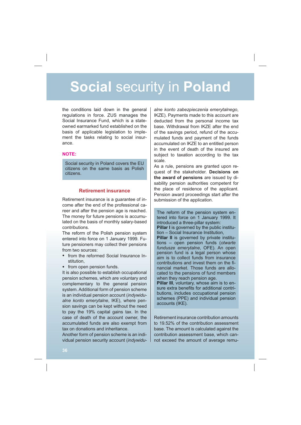the conditions laid down in the general regulations in force. ZUS manages the Social Insurance Fund, which is a stateowned earmarked fund established on the basis of applicable legislation to implement the tasks relating to social insurance.

#### **NOTE:**

Social security in Poland covers the EU citizens on the same basis as Polish citizens.

### **Retirement insurance**

Retirement insurance is a guarantee of income after the end of the professional career and after the pension age is reached. The money for future pensions is accumulated on the basis of monthly salary-based contributions.

The reform of the Polish pension system entered into force on 1 January 1999. Future pensioners may collect their pensions from two sources:

- from the reformed Social Insurance Institution,
- from open pension funds.

It is also possible to establish occupational pension schemes, which are voluntary and complementary to the general pension system. Additional form of pension scheme is an individual pension account (*indywidualne konto emerytalne*, IKE), where pension savings can be kept without the need to pay the 19% capital gains tax. In the case of death of the account owner, the accumulated funds are also exempt from tax on donations and inheritance.

Another form of pension scheme is an individual pension security account (*indywidu-*

*alne konto zabezpieczenia emerytalnego*, IKZE). Payments made to this account are deducted from the personal income tax base. Withdrawal from IKZE after the end of the savings period, refund of the accumulated funds and payment of the funds accumulated on IKZE to an entitled person in the event of death of the insured are subject to taxation according to the tax scale.

As a rule, pensions are granted upon request of the stakeholder. **Decisions on the award of pensions** are issued by disability pension authorities competent for the place of residence of the applicant. Pension award proceedings start after the submission of the application.

The reform of the pension system entered into force on 1 January 1999. It introduced a three-pillar system: **Pillar I** is governed by the public institution – Social Insurance Institution, **Pillar II** is governed by private institutions – open pension funds (*otwarte fundusze emerytalne*, OFE). An open pension fund is a legal person whose aim is to collect funds from insurance contributions and invest them on the financial market. Those funds are allocated to the pensions of fund members when they reach pension age. **Pillar III**, voluntary, whose aim is to ensure extra benefits for additional contri-

butions, includes occupational pension schemes (PPE) and individual pension accounts (IKE).

Retirement insurance contribution amounts to 19.52% of the contribution assessment base. The amount is calculated against the contribution assessment base, which cannot exceed the amount of average remu-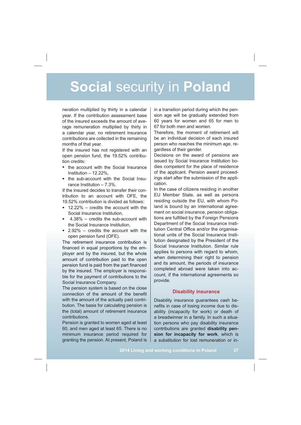neration multiplied by thirty in a calendar year. If the contribution assessment base of the insured exceeds the amount of average remuneration multiplied by thirty in a calendar year, no retirement insurance contributions are collected in the remaining months of that year.

If the insured has not registered with an open pension fund, the 19.52% contribution credits:

- the account with the Social Insurance Institution – 12.22%,
- the sub-account with the Social Insurance Institution – 7.3%.

If the insured decides to transfer their contribution to an account with OFF, the 19.52% contribution is divided as follows:

- 12.22% credits the account with the Social Insurance Institution,
- 4.38% credits the sub-account with the Social Insurance Institution,
- 2.92% credits the account with the open pension fund (OFE).

The retirement insurance contribution is financed in equal proportions by the employer and by the insured, but the whole amount of contribution paid to the open pension fund is paid from the part financed by the insured. The employer is responsible for the payment of contributions to the Social Insurance Company.

The pension system is based on the close connection of the amount of the benefit with the amount of the actually paid contribution. The basis for calculating pension is the (total) amount of retirement insurance contributions.

Pension is granted to women aged at least 60, and men aged at least 65. There is no minimum insurance period required for granting the pension. At present, Poland is

in a transition period during which the pension age will be gradually extended from 60 years for women and 65 for men to 67 for both men and women.

Therefore, the moment of retirement will be an individual decision of each insured person who reaches the minimum age, regardless of their gender.

Decisions on the award of pensions are issued by Social Insurance Institution bodies competent for the place of residence of the applicant. Pension award proceedings start after the submission of the application.

In the case of citizens residing in another EU Member State, as well as persons residing outside the EU, with whom Poland is bound by an international agreement on social insurance, pension obligations are fulfilled by the Foreign Pensions Department of the Social Insurance Institution Central Office and/or the organisational units of the Social Insurance Institution designated by the President of the Social Insurance Institution. Similar rule applies to persons with regard to whom, when determining their right to pension and its amount, the periods of insurance completed abroad were taken into account, if the international agreements so provide.

### **Disability insurance**

Disability insurance guarantees cash benefits in case of losing income due to disability (incapacity for work) or death of a breadwinner in a family. In such a situation persons who pay disability insurance contributions are granted **disability pension for incapacity for work**, which is a substitution for lost remuneration or in-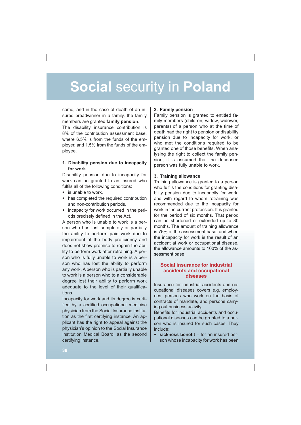come, and in the case of death of an insured breadwinner in a family, the family members are granted **family pension**.

The disability insurance contribution is 8% of the contribution assessment base, where 6.5% is from the funds of the employer, and 1.5% from the funds of the employee.

### **1. Disability pension due to incapacity for work**

Disability pension due to incapacity for work can be granted to an insured who fulfils all of the following conditions:

- is unable to work,
- has completed the required contribution and non-contribution periods,
- incapacity for work occurred in the periods precisely defined in the Act.

A person who is unable to work is a person who has lost completely or partially the ability to perform paid work due to impairment of the body proficiency and does not show promise to regain the ability to perform work after retraining. A person who is fully unable to work is a person who has lost the ability to perform any work. A person who is partially unable to work is a person who to a considerable degree lost their ability to perform work adequate to the level of their qualifications.

Incapacity for work and its degree is certi fied by a certified occupational medicine physician from the Social Insurance Institution as the first certifying instance. An applicant has the right to appeal against the physician's opinion to the Social Insurance Institution Medical Board, as the second certifying instance.

#### **2. Family pension**

Family pension is granted to entitled family members (children, widow, widower, parents) of a person who at the time of death had the right to pension or disability pension due to incapacity for work, or who met the conditions required to be granted one of those benefits. When analysing the right to collect the family pension, it is assumed that the deceased person was fully unable to work.

#### **3. Training allowance**

Training allowance is granted to a person who fulfils the conditions for granting disability pension due to incapacity for work, and with regard to whom retraining was recommended due to the incapacity for work in the current profession. It is granted for the period of six months. That period can be shortened or extended up to 30 months. The amount of training allowance is 75% of the assessment base, and when the incapacity for work is the result of an accident at work or occupational disease, the allowance amounts to 100% of the assessment base.

### **Social insurance for industrial accidents and occupational diseases**

Insurance for industrial accidents and occupational diseases covers e.g. employees, persons who work on the basis of contracts of mandate, and persons carrying out business activity.

Benefits for industrial accidents and occupational diseases can be granted to a person who is insured for such cases. They include:

• sickness benefit – for an insured person whose incapacity for work has been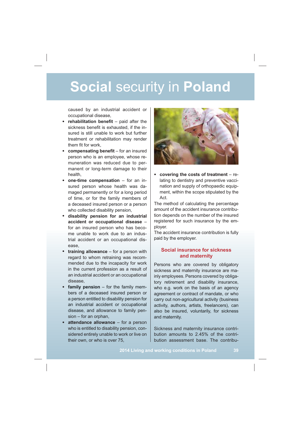caused by an industrial accident or occupational disease,

- rehabilitation benefit paid after the sickness benefit is exhausted, if the insured is still unable to work but further treatment or rehabilitation may render them fit for work,
- compensating benefit for an insured person who is an employee, whose remuneration was reduced due to permanent or long-term damage to their health,
- **one-time compensation** for an insured person whose health was damaged permanently or for a long period of time, or for the family members of a deceased insured person or a person who collected disability pension,
- **disability pension for an industrial accident or occupational disease** – for an insured person who has become unable to work due to an industrial accident or an occupational disease,
- **training allowance** for a person with regard to whom retraining was recommended due to the incapacity for work in the current profession as a result of an industrial accident or an occupational disease,
- **family pension** for the family members of a deceased insured person or a person entitled to disability pension for an industrial accident or occupational disease, and allowance to family pension – for an orphan,
- **attendance allowance** for a person who is entitled to disability pension, considered entirely unable to work or live on their own, or who is over 75,



• **covering the costs of treatment** – relating to dentistry and preventive vaccination and supply of orthopaedic equipment, within the scope stipulated by the Act.

The method of calculating the percentage amount of the accident insurance contribution depends on the number of the insured registered for such insurance by the employer.

The accident insurance contribution is fully paid by the employer.

### **Social insurance for sickness and maternity**

Persons who are covered by obligatory sickness and maternity insurance are mainly employees. Persons covered by obligatory retirement and disability insurance, who e.g. work on the basis of an agency agreement or contract of mandate, or who carry out non-agricultural activity (business activity, authors, artists, freelancers), can also be insured, voluntarily, for sickness and maternity.

Sickness and maternity insurance contribution amounts to 2.45% of the contribution assessment base. The contribu-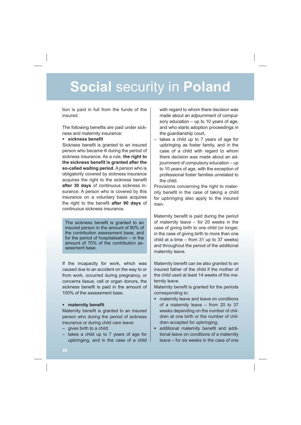tion is paid in full from the funds of the insured.

The following benefits are paid under sickness and maternity insurance:

### • sickness benefit

Sickness benefit is granted to an insured person who became ill during the period of sickness insurance. As a rule, **the right to**  the sickness benefit is granted after the **so-called waiting period**. A person who is obligatorily covered by sickness insurance acquires the right to the sickness benefit **after 30 days** of continuous sickness insurance. A person who is covered by this insurance on a voluntary basis acquires the right to the benefit **after 90 days** of continuous sickness insurance.

The sickness benefit is granted to an insured person in the amount of 80% of the contribution assessment base, and for the period of hospitalisation – in the amount of 70% of the contribution assessment base.

If the incapacity for work, which was caused due to an accident on the way to or from work, occurred during pregnancy, or concerns tissue, cell or organ donors, the sickness benefit is paid in the amount of 100% of the assessment base.

### • maternity benefit

Maternity benefit is granted to an insured person who during the period of sickness insurance or during child care leave:

- gives birth to a child;
- takes a child up to 7 years of age for upbringing, and in the case of a child

with regard to whom there decision was made about an adjournment of compulsory education – up to 10 years of age, and who starts adoption proceedings in the guardianship court,

– takes a child up to 7 years of age for upbringing as foster family, and in the case of a child with regard to whom there decision was made about an adjournment of compulsory education – up to 10 years of age, with the exception of professional foster families unrelated to the child.

Provisions concerning the right to maternity benefit in the case of taking a child for upbringing also apply to the insured men.

Maternity benefit is paid during the period of maternity leave – for 20 weeks in the case of giving birth to one child (or longer, in the case of giving birth to more than one child at a time – from 31 up to 37 weeks) and throughout the period of the additional maternity leave.

Maternity benefit can be also granted to an insured father of the child if the mother of the child used at least 14 weeks of the maternity leave.

Maternity benefit is granted for the periods corresponding to:

- maternity leave and leave on conditions of a maternity leave – from 20 to 37 weeks depending on the number of children at one birth or the number of children accepted for upbringing;
- · additional maternity benefit and additional leave on conditions of a maternity leave – for six weeks in the case of one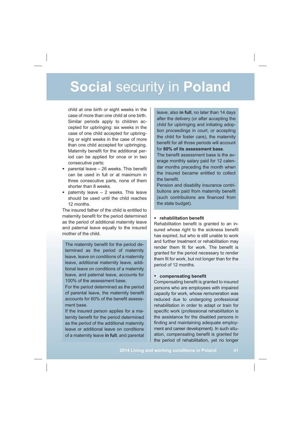child at one birth or eight weeks in the case of more than one child at one birth. Similar periods apply to children accepted for upbringing: six weeks in the case of one child accepted for upbringing or eight weeks in the case of more than one child accepted for upbringing. Maternity benefit for the additional period can be applied for once or in two consecutive parts;

- $\bullet$  parental leave  $-$  26 weeks. This benefit can be used in full or at maximum in three consecutive parts, none of them shorter than 8 weeks.
- paternity leave 2 weeks. This leave should be used until the child reaches 12 months.

The insured father of the child is entitled to maternity benefit for the period determined as the period of additional maternity leave and paternal leave equally to the insured mother of the child.

The maternity benefit for the period determined as the period of maternity leave, leave on conditions of a maternity leave, additional maternity leave, additional leave on conditions of a maternity leave, and paternal leave, accounts for 100% of the assessment base.

For the period determined as the period of parental leave, the maternity benefit accounts for 60% of the benefit assessment base.

If the insured person applies for a maternity benefit for the period determined as the period of the additional maternity leave or additional leave on conditions of a maternity leave **in full**, and parental

leave, also **in full**, no later than 14 days after the delivery (or after accepting the child for upbringing and initiating adoption proceedings in court, or accepting the child for foster care), the maternity benefit for all those periods will account for **80% of its assessment base**.

The benefit assessment base is the average monthly salary paid for 12 calendar months preceding the month when the insured became entitled to collect the benefit.

Pension and disability insurance contributions are paid from maternity benefit (such contributions are financed from the state budget).

### • rehabilitation benefit

Rehabilitation benefit is granted to an insured whose right to the sickness benefit has expired, but who is still unable to work and further treatment or rehabilitation may render them fit for work. The benefit is granted for the period necessary to render them fit for work, but not longer than for the period of 12 months.

### • compensating benefit

Compensating benefit is granted to insured persons who are employees with impaired capacity for work, whose remuneration was reduced due to undergoing professional rehabilitation in order to adapt or train for specific work (professional rehabilitation is the assistance for the disabled persons in finding and maintaining adequate employment and career development). In such situation, compensating benefit is granted for the period of rehabilitation, yet no longer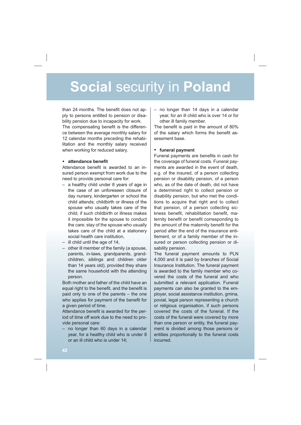than 24 months. The benefit does not apply to persons entitled to pension or disability pension due to incapacity for work. The compensating benefit is the difference between the average monthly salary for 12 calendar months preceding the rehabilitation and the monthly salary received when working for reduced salary.

### • attendance benefit

Attendance benefit is awarded to an insured person exempt from work due to the need to provide personal care for:

- a healthy child under 8 years of age in the case of an unforeseen closure of day nursery, kindergarten or school the child attends; childbirth or illness of the spouse who usually takes care of the child, if such childbirth or illness makes it impossible for the spouse to conduct the care; stay of the spouse who usually takes care of the child at a stationery social health care institution,
- ill child until the age of 14,
- other ill member of the family (a spouse, parents, in-laws, grandparents, grandchildren, siblings and children older than 14 years old), provided they share the same household with the attending person.

Both mother and father of the child have an equal right to the benefit, and the benefit is paid only to one of the parents – the one who applies for payment of the benefit for a given period of time.

Attendance benefit is awarded for the period of time off work due to the need to provide personal care:

– no longer than 60 days in a calendar year, for a healthy child who is under 8 or an ill child who is under 14;

year, for an ill child who is over 14 or for other ill family member.

The benefit is paid in the amount of 80% of the salary which forms the benefit assessment base.

#### • **funeral payment**

than 24 months. The benefit does not ap-<br>
http://thenosity and a calendaristic considerative mode to incapacity for work.<br>
by the persons entitled to persons or distanting means the differen-<br>
The composating benefit is th Funeral payments are benefits in cash for the coverage of funeral costs. Funeral payments are awarded in the event of death e.g. of the insured, of a person collecting pension or disability pension, of a person who, as of the date of death, did not have a determined right to collect pension or disability pension, but who met the conditions to acquire that right and to collect that pension, of a person collecting sickness benefit, rehabilitation benefit, maternity benefit or benefit corresponding to the amount of the maternity benefit for the period after the end of the insurance entitlement, or of a family member of the insured or person collecting pension or disability pension.

The funeral payment amounts to PLN 4,000 and it is paid by branches of Social Insurance Institution. The funeral payment is awarded to the family member who covered the costs of the funeral and who submitted a relevant application. Funeral payments can also be granted to the employer, social assistance institution, gmina, poviat, legal person representing a church or religious organisation, if such persons covered the costs of the funeral. If the costs of the funeral were covered by more than one person or entity, the funeral payment is divided among those persons or entities proportionally to the funeral costs incurred.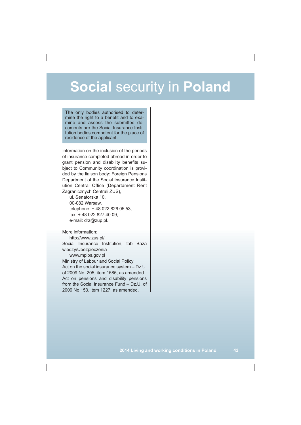The only bodies authorised to determine the right to a benefit and to examine and assess the submitted documents are the Social Insurance Institution bodies competent for the place of residence of the applicant.

Information on the inclusion of the periods of insurance completed abroad in order to grant pension and disability benefits subject to Community coordination is provided by the liaison body: Foreign Pensions Department of the Social Insurance Institution Central Office (Departament Rent Zagranicznych Centrali ZUS),

ul. Senatorska 10, 00-082 Warsaw, telephone: + 48 022 826 05 53, fax: + 48 022 827 40 09, e-mail: drz@zup.pl.

More information:

http://www.zus.pl/ Social Insurance Institution, tab Baza wiedzy/Ubezpieczenia

www.mpips.gov.pl Ministry of Labour and Social Policy Act on the social insurance system – Dz.U. of 2009 No. 205, item 1585, as amended Act on pensions and disability pensions from the Social Insurance Fund – Dz.U. of 2009 No 153, item 1227, as amended.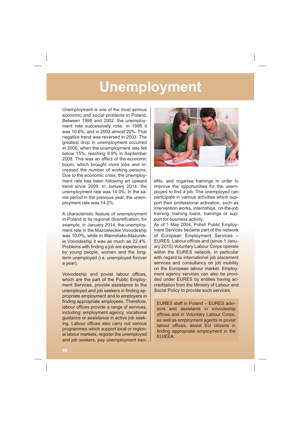Unemployment is one of the most serious economic and social problems in Poland. Between 1998 and 2002, the unemployment rate successively rose: in 1998 it was 10.6%, and in 2002 almost 20%. That negative trend was reversed in 2003. The greatest drop in unemployment occurred in 2006, when the unemployment rate fell below 15%, reaching 8.9% in September 2008. This was an effect of the economic boom, which brought more jobs and increased the number of working persons. Due to the economic crisis, the unemployment rate has been following an upward trend since 2009. In January 2014, the unemployment rate was 14.0%. In the same period in the previous year, the unemployment rate was 14.2%.

A characteristic feature of unemployment in Poland is its regional diversification; for example, in January 2014, the unemployment rate in the Mazowieckie Voivodeship was 10.0%, while in Warmińsko-Mazurskie Voivodeship it was as much as 22.4%. Problems with finding a job are experienced by young people, women and the longterm unemployed (i.e. unemployed forover a year).

Voivodeship and poviat labour offices, which are the part of the Public Employment Services, provide assistance to the unemployed and job seekers in finding appropriate employment and to employers in finding appropriate employees. Therefore, labour offices provide a range of services, including: employment agency, vocational guidance or assistance in active job seeking. Labour offices also carry out various programmes which support local or regional labour markets, register the unemployed and job seekers, pay unemployment ben-



efits, and organise trainings in order to improve the opportunities for the unemployed to find a job. The unemployed can participate in various activities which support their professional activation, such as intervention works, internships, on-the-job training, training loans, trainings or support for business activity.

As of 1 May 2004, Polish Public Employment Services became part of the network of European Employment Services – EURES. Labour offices and (since 1 January 2015) Voluntary Labour Corps operate within the EURES network, in particular with regard to international job placement services and consultancy on job mobility on the European labour market. Employment agency services can also be provided under EURES by entities having accreditation from the Ministry of Labour and Social Policy to provide such services.

EURES staff in Poland – EURES advisors and assistants in voivodeship offices and in Voluntary Labour Corps, as well as employment agents in poviat labour offices, assist EU citizens in finding appropriate employment in the EU/EEA.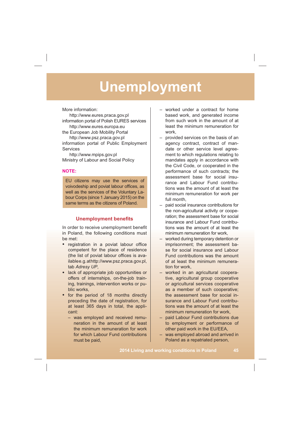More information:

http://www.eures.praca.gov.pl information portal of Polish EURES services http://www.eures.europa.eu the European Job Mobility Portal http://www.psz.praca.gov.pl information portal of Public Employment **Services** 

http://www.mpips.gov.pl Ministry of Labour and Social Policy

### **NOTE:**

EU citizens may use the services of voivodeship and poviat labour offices, as well as the services of the Voluntary Labour Corps (since 1 January 2015) on the same terms as the citizens of Poland.

### **Unemployment benefits**

In order to receive unemployment benefit in Poland, the following conditions must be met:

- registration in a poviat labour office competent for the place of residence (the list of poviat labour offices is availablee.g.athttp://www.psz.praca.gov.pl, tab *Adresy UP*,
- lack of appropriate job opportunities or offers of internships, on-the-job training, trainings, intervention works or public works,
- for the period of 18 months directly preceding the date of registration, for at least 365 days in total, the applicant:
	- was employed and received remuneration in the amount of at least the minimum remuneration for work for which Labour Fund contributions must be paid,
- worked under a contract for home based work, and generated income from such work in the amount of at least the minimum remuneration for work,
- provided services on the basis of an agency contract, contract of mandate or other service level agreement to which regulations relating to mandates apply in accordance with the Civil Code, or cooperated in the performance of such contracts; the assessment base for social insurance and Labour Fund contributions was the amount of at least the minimum remuneration for work per full month,
- paid social insurance contributions for the non-agricultural activity or cooperation; the assessment base for social insurance and Labour Fund contributions was the amount of at least the minimum remuneration for work,
- worked during temporary detention or imprisonment; the assessment base for social insurance and Labour Fund contributions was the amount of at least the minimum remuneration for work,
- worked in an agricultural cooperative, agricultural group cooperative or agricultural services cooperative as a member of such cooperative; the assessment base for social insurance and Labour Fund contributions was the amount of at least the minimum remuneration for work,
- paid Labour Fund contributions due to employment or performance of other paid work in the EU/EEA,
- was employed abroad and arrived in Poland as a repatriated person,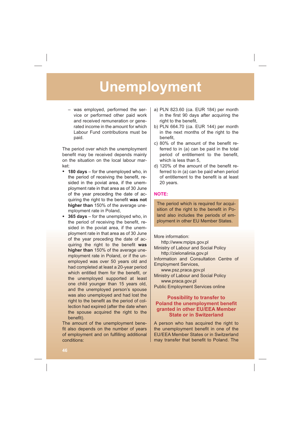– was employed, performed the service or performed other paid work and received remuneration or generated income in the amount for which Labour Fund contributions must be paid.

The period over which the unemployment benefit may be received depends mainly on the situation on the local labour market:

- **180 days** for the unemployed who, in the period of receiving the benefit, resided in the poviat area, if the unemployment rate in that area as of 30 June of the year preceding the date of acquiring the right to the benefit was not **higher than** 150% of the average unemployment rate in Poland,
- **365 days** for the unemployed who, in the period of receiving the benefit, resided in the poviat area, if the unemployment rate in that area as of 30 June of the year preceding the date of acquiring the right to the benefit was **higher than** 150% of the average unemployment rate in Poland, or if the unemployed was over 50 years old and had completed at least a 20-year period which entitled them for the benefit, or the unemployed supported at least one child younger than 15 years old, and the unemployed person's spouse was also unemployed and had lost the right to the benefit as the period of collection had expired (after the date when the spouse acquired the right to the benefit).

The amount of the unemployment bene fit also depends on the number of years of employment and on fulfilling additional conditions:

- a) PLN 823.60 (ca. EUR 184) per month in the first 90 days after acquiring the right to the benefit,
- b) PLN 664.70 (ca. EUR 144) per month in the next months of the right to the benefit,
- c)  $80\%$  of the amount of the benefit referred to in (a) can be paid in the total period of entitlement to the benefit, which is less than 5,
- d) 120% of the amount of the benefit referred to in (a) can be paid when period of entitlement to the benefit is at least 20 years.

### **NOTE:**

The period which is required for acquisition of the right to the benefit in Poland also includes the periods of employment in other EU Member States.

More information: http://www.mpips.gov.pl

Ministry of Labour and Social Policy http://zielonalinia.gov.pl Information and Consultation Centre of Employment Services, www.psz.praca.gov.pl

Ministry of Labour and Social Policy www.praca.gov.pl Public Employment Services online

### **Possibility to transfer to Poland the unemployment benefit granted in other EU/EEA Member State or in Switzerland**

A person who has acquired the right to the unemployment benefit in one of the EU/EEA Member States or in Switzerland may transfer that benefit to Poland. The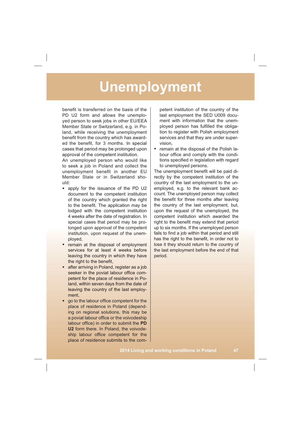benefit is transferred on the basis of the PD U2 form and allows the unemployed person to seek jobs in other EU/EEA Member State or Switzerland, e.g. in Poland, while receiving the unemployment benefit from the country which has awarded the benefit, for 3 months. In special cases that period may be prolonged upon approval of the competent institution.

An unemployed person who would like to seek a job in Poland and collect the unemployment benefit in another EU Member State or in Switzerland should:

- apply for the issuance of the PD U2 document to the competent institution of the country which granted the right to the benefit. The application may be lodged with the competent institution 4 weeks after the date of registration. In special cases that period may be prolonged upon approval of the competent institution, upon request of the unemployed,
- remain at the disposal of employment services for at least 4 weeks before leaving the country in which they have the right to the benefit,
- after arriving in Poland, register as a job seeker in the poviat labour office competent for the place of residence in Poland, within seven days from the date of leaving the country of the last employment,
- go to the labour office competent for the place of residence in Poland (depending on regional solutions, this may be a poviat labour office or the voivodeship labour office) in order to submit the **PD U2** form there. In Poland, the voivodeship labour office competent for the place of residence submits to the com-

petent institution of the country of the last employment the SED U009 document with information that the unemployed person has fulfilled the obligation to register with Polish employment services and that they are under supervision,

• remain at the disposal of the Polish labour office and comply with the conditions specified in legislation with regard to unemployed persons.

The unemployment benefit will be paid directly by the competent institution of the country of the last employment to the unemployed, e.g. to the relevant bank account. The unemployed person may collect the benefit for three months after leaving the country of the last employment, but, upon the request of the unemployed, the competent institution which awarded the right to the benefit may extend that period up to six months. If the unemployed person fails to find a job within that period and still has the right to the benefit, in order not to lose it they should return to the country of the last employment before the end of that period.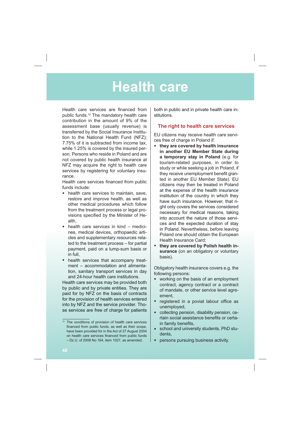### **Health care**

Health care services are financed from public funds.12 The mandatory health care contribution in the amount of 9% of the assessment base (usually revenue) is transferred by the Social Insurance Institution to the National Health Fund (NFZ); 7.75% of it is subtracted from income tax, while 1.25% is covered by the insured person. Persons who reside in Poland and are not covered by public health insurance at NFZ may acquire the right to health care services by registering for voluntary insurance.

Health care services financed from public funds include:

- health care services to maintain, save, restore and improve health, as well as other medical procedures which follow from the treatment process or legal provisions specified by the Minister of Health,
- health care services in kind medicines, medical devices, orthopaedic articles and supplementary resources related to the treatment process – for partial payment, paid on a lump-sum basis or in full,
- health services that accompany treatment – accommodation and alimentation, sanitary transport services in day and 24-hour health care institutions.

Health care services may be provided both by public and by private entities. They are paid for by NFZ on the basis of contracts for the provision of health services entered into by NFZ and the service provider. Those services are free of charge for patients

both in public and in private health care institutions.

### **The right to health care services**

EU citizens may receive health care services free of charge in Poland if:

- **they are covered by health insurance in another EU Member State during a temporary stay in Poland** (e.g. for tourism-related purposes, in order to study or while seeking a job in Poland, if they receive unemployment benefit granted in another EU Member State). EU citizens may then be treated in Poland at the expense of the health insurance institution of the country in which they have such insurance. However, that right only covers the services considered necessary for medical reasons, taking into account the nature of those services and the expected duration of stay in Poland. Nevertheless, before leaving Poland one should obtain the European Health Insurance Card;
- **they are covered by Polish health insurance** (on an obligatory or voluntary basis).

Obligatory health insurance covers e.g. the following persons:

- working on the basis of an employment contract, agency contract or a contract of mandate, or other service level agreement,
- registered in a poviat labour office as unemployed,
- collecting pension, disability pension, certain social assistance benefits or certain family benefits,
- school and university students, PhD students,
- persons pursuing business activity.

<sup>&</sup>lt;sup>12</sup> The conditions of provision of health care services financed from public funds, as well as their scope, have been provided for in the Act of 27 August 2004 on health care services financed from public funds – Dz.U. of 2008 No 164, item 1027, as amended.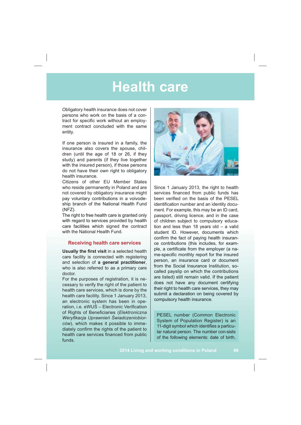### **Health care**

Obligatory health insurance does not cover persons who work on the basis of a contract for specific work without an employment contract concluded with the same entity.

If one person is insured in a family, the insurance also covers the spouse, children (until the age of 18 or 26, if they study) and parents (if they live together with the insured person), if those persons do not have their own right to obligatory health insurance.

Citizens of other EU Member States who reside permanently in Poland and are not covered by obligatory insurance might pay voluntary contributions in a voivodeship branch of the National Health Fund (NFZ).

The right to free health care is granted only with regard to services provided by health care facilities which signed the contract with the National Health Fund.

### **Receiving health care services**

**Usually the first visit** in a selected health care facility is connected with registering and selection of **a general practitioner**, who is also referred to as a primary care doctor.

For the purposes of registration, it is necessary to verify the right of the patient to health care services, which is done by the health care facility. Since 1 January 2013, an electronic system has been in operation, i.e. eWUS – Electronic Verification of Rights of Beneficiaries (Elektroniczna Weryfikacja Uprawnień Świadczeniobior*ców*), which makes it possible to immediately confirm the rights of the patient to health care services financed from public funds.



Since 1 January 2013, the right to health services financed from public funds has been verified on the basis of the PESEL identification number and an identity document. For example, this may be an ID card, passport, driving licence, and in the case of children subject to compulsory education and less than 18 years old – a valid student ID. However, documents which confirm the fact of paying health insurance contributions (this includes, for example, a certificate from the employer (a name-specific monthly report for the insured person, an insurance card or document from the Social Insurance Institution, socalled payslip on which the contributions are listed) still remain valid. If the patient does not have any document certifying their right to health care services, they may submit a declaration on being covered by compulsory health insurance.

PESEL number (Common Electronic System of Population Register) is an 11-digit symbol which identifies a particular natural person. The number con-sists of the following elements: date of birth,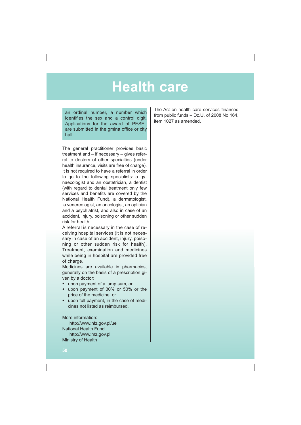### **Health care**

an ordinal number, a number which identifies the sex and a control digit. Applications for the award of PESEL are submitted in the gmina office or city hall.

The general practitioner provides basic treatment and – if necessary – gives referral to doctors of other specialties (under health insurance, visits are free of charge). It is not required to have a referral in order to go to the following specialists: a gynaecologist and an obstetrician, a dentist (with regard to dental treatment only few services and benefits are covered by the National Health Fund), a dermatologist, a venereologist, an oncologist, an optician and a psychiatrist, and also in case of an accident, injury, poisoning or other sudden risk for health.

A referral is necessary in the case of receiving hospital services (it is not necessary in case of an accident, injury, poisoning or other sudden risk for health). Treatment, examination and medicines while being in hospital are provided free of charge.

Medicines are available in pharmacies, generally on the basis of a prescription given by a doctor:

- upon payment of a lump sum, or
- upon payment of 30% or 50% or the price of the medicine, or
- upon full payment, in the case of medicines not listed as reimbursed.

More information: http://www.nfz.gov.pl/ue National Health Fund http://www.mz.gov.pl Ministry of Health

The Act on health care services financed from public funds – Dz.U. of 2008 No 164, item 1027 as amended.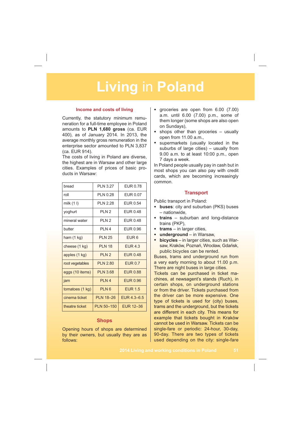#### **Income and costs of living**

Currently, the statutory minimum remuneration for a full-time employee in Poland amounts to **PLN 1,680 gross** (ca. EUR 400), as of January 2014. In 2013, the average monthly gross remuneration in the enterprise sector amounted to PLN 3,837 (ca. EUR 914).

The costs of living in Poland are diverse, the highest are in Warsaw and other large cities. Examples of prices of basic products in Warsaw:

| bread                | <b>PLN 3.27</b>   | EUR 0.78         |
|----------------------|-------------------|------------------|
| roll                 | PIN 0.28          | EUR 0.07         |
| milk $(11)$          | PIN 2.28          | <b>FUR0.54</b>   |
| yoghurt              | PI N 2            | EUR 0.48         |
| mineral water        | PI N 2            | <b>FUR048</b>    |
| butter               | <b>PIN4</b>       | EUR 0.96         |
| ham $(1 \text{ kg})$ | <b>PLN 25</b>     | FUR <sub>6</sub> |
| cheese (1 kg)        | <b>PIN 18</b>     | <b>EUR 4.3</b>   |
| apples (1 kg)        | PI N 2            | <b>FUR048</b>    |
| root vegetables      | PIN 2.80          | <b>EUR 0.7</b>   |
| eggs (10 items)      | <b>PLN 3.68</b>   | <b>FUR088</b>    |
| jam                  | PI N 4            | <b>EUR 0.96</b>  |
| tomatoes (1 kg)      | PIN6              | <b>FUR 1.5</b>   |
| cinema ticket        | <b>PLN 18-26</b>  | $FUR 4.3 - 6.5$  |
| theatre ticket       | <b>PLN 50-150</b> | EUR 12-36        |

### **Shops**

Opening hours of shops are determined by their owners, but usually they are as follows:

- groceries are open from 6.00 (7.00) a.m. until 6.00 (7.00) p.m., some of them longer (some shops are also open on Sundays),
- shops other than groceries usually open from 11.00 a.m.,
- supermarkets (usually located in the suburbs of large cities) – usually from 9.00 a.m. to at least 10:00 p.m., open 7 days a week.

In Poland people usually pay in cash but in most shops you can also pay with credit cards, which are becoming increasingly common.

### **Transport**

Public transport in Poland:

- **buses**: city and suburban (PKS) buses – nationwide,
- **trains** suburban and long-distance trains (PKP),
- **trams** in larger cities,
- **underground** in Warsaw,
- **bicycles** in larger cities, such as Warsaw, Kraków, Poznań, Wrocław, Gdańsk, public bicycles can be rented.

Buses, trams and underground run from a very early morning to about 11.00 p.m. There are night buses in large cities.

Tickets can be purchased in ticket machines, at newsagent's stands (Ruch), in certain shops, on underground stations or from the driver. Tickets purchased from the driver can be more expensive. One type of tickets is used for (city) buses, trams and the underground, but the tickets are different in each city. This means for example that tickets bought in Kraków cannot be used in Warsaw. Tickets can be single-fare or periodic: 24-hour, 30-day, 90-day. There are two types of tickets used depending on the city: single-fare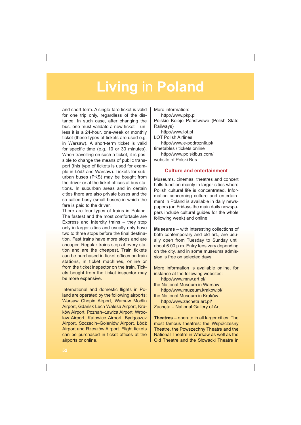and short-term. A single-fare ticket is valid for one trip only, regardless of the distance. In such case, after changing the bus, one must validate a new ticket – unless it is a 24-hour, one-week or monthly ticket (these types of tickets are used e.g. in Warsaw). A short-term ticket is valid for specific time (e.g. 10 or 30 minutes). When travelling on such a ticket, it is possible to change the means of public transport (this type of tickets is used for example in Łódź and Warsaw). Tickets for suburban buses (PKS) may be bought from the driver or at the ticket offices at bus stations. In suburban areas and in certain cities there are also private buses and the so-called busy (small buses) in which the fare is paid to the driver.

There are four types of trains in Poland. The fastest and the most comfortable are Express and Intercity trains – they stop only in larger cities and usually only have two to three stops before the final destination. Fast trains have more stops and are cheaper. Regular trains stop at every station and are the cheapest. Train tickets can be purchased in ticket offices on train stations, in ticket machines, online or from the ticket inspector on the train. Tickets bought from the ticket inspector may be more expensive.

International and domestic flights in Poland are operated by the following airports: Warsaw Chopin Airport, Warsaw Modlin Airport, Gdańsk Lech Walesa Airport, Kraków Airport, Poznań-Ławica Airport, Wrocaw Airport, Katowice Airport, Bydgoszcz Airport, Szczecin-Goleniów Airport, Łódź Airport and Rzeszów Airport. Flight tickets can be purchased in ticket offices at the airports or online.

More information:

http://www.pkp.pl Polskie Koleje Państwowe (Polish State Railways) http://www.lot.pl LOT Polish Airlines http://www.e-podroznik.pl/ timetables / tickets online http://www.polskibus.com/ website of Polski Bus

### **Culture and entertainment**

Museums, cinemas, theatres and concert halls function mainly in larger cities where Polish cultural life is concentrated. Information concerning culture and entertainment in Poland is available in daily newspapers (on Fridays the main daily newspapers include cultural guides for the whole following week) and online.

**Museums** – with interesting collections of both contemporary and old art., are usually open from Tuesday to Sunday until about 6.00 p.m. Entry fees vary depending on the city, and in some museums admission is free on selected days.

More information is available online, for instance at the following websites: http://www.mnw.art.pl/ the National Museum in Warsaw http://www.muzeum.krakow.pl/ the National Museum in Kraków http://www.zacheta.art.pl/ Zacheta - National Gallery of Art

**Theatres** – operate in all larger cities. The most famous theatres: the Współczesny Theatre, the Powszechny Theatre and the National Theatre in Warsaw as well as the Old Theatre and the Słowacki Theatre in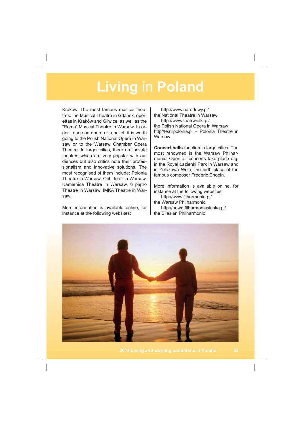Kraków. The most famous musical theatres: the Musical Theatre in Gdańsk, operettas in Kraków and Gliwice, as well as the "Roma" Musical Theatre in Warsaw. In order to see an opera or a ballet, it is worth going to the Polish National Opera in Warsaw or to the Warsaw Chamber Opera Theatre. In larger cities, there are private theatres which are very popular with audiences but also critics note their professionalism and innovative solutions. The most recognised of them include: Polonia Theatre in Warsaw, Och-Teatr in Warsaw, Kamienica Theatre in Warsaw, 6 piętro Theatre in Warsaw, IMKA Theatre in Warsaw.

More information is available online, for instance at the following websites:

http://www.narodowy.pl/ the National Theatre in Warsaw http://www.teatrwielki.pl/ the Polish National Opera in Warsaw http//teatrpolonia.pl – Polonia Theatre in **Warsaw** 

**Concert halls** function in large cities. The most renowned is the Warsaw Philharmonic. Open-air concerts take place e.g. in the Royal Łazienki Park in Warsaw and in Żelazowa Wola, the birth place of the famous composer Frederic Chopin.

More information is available online, for instance at the following websites:

http://www.filharmonia.pl/ the Warsaw Philharmonic http://nowa.filharmoniaslaska.pl/ the Silesian Philharmonic

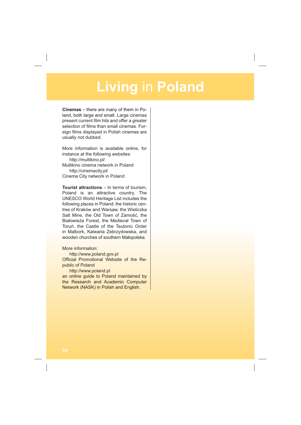**Cinemas** – there are many of them in Poland, both large and small. Large cinemas present current film hits and offer a greater selection of films than small cinemas. Foreign films displayed in Polish cinemas are usually not dubbed.

More information is available online, for instance at the following websites:

http://multikino.pl/ Multikino cinema network in Poland http://cinemacity.pl/ Cinema City network in Poland

**Tourist attractions** – In terms of tourism, Poland is an attractive country. The UNESCO World Heritage List includes the following places in Poland: the historic centres of Kraków and Warsaw, the Wieliczka Salt Mine, the Old Town of Zamość, the Białowieża Forest, the Medieval Town of Toruń, the Castle of the Teutonic Order in Malbork, Kalwaria Zebrzydowska, and wooden churches of southern Małopolska.

More information:

http://www.poland.gov.pl

Official Promotional Website of the Republic of Poland

http://www.poland.pl

an online guide to Poland maintained by the Research and Academic Computer Network (NASK) in Polish and English.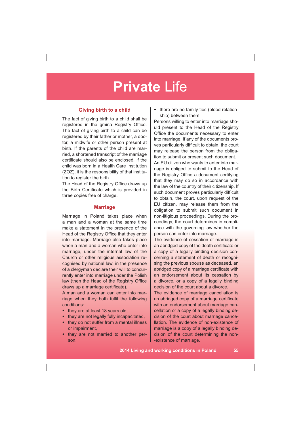### **Giving birth to a child**

The fact of giving birth to a child shall be registered in the gmina Registry Office. The fact of giving birth to a child can be registered by their father or mother, a doctor, a midwife or other person present at birth. If the parents of the child are married, a shortened transcript of the marriage certificate should also be enclosed. If the child was born in a Health Care Institution (ZOZ), it is the responsibility of that institution to register the birth.

The Head of the Registry Office draws up the Birth Certificate which is provided in three copies free of charge.

#### **Marriage**

Marriage in Poland takes place when a man and a woman at the same time make a statement in the presence of the Head of the Registry Office that they enter into marriage. Marriage also takes place when a man and a woman who enter into marriage, under the internal law of the Church or other religious association recognised by national law, in the presence of a clergyman declare their will to concurrently enter into marriage under the Polish law (then the Head of the Registry Office draws up a marriage certificate).

A man and a woman can enter into marriage when they both fulfil the following conditions:

- they are at least 18 years old,
- they are not legally fully incapacitated,
- they do not suffer from a mental illness or impairment,
- they are not married to another person,

there are no family ties (blood relationship) between them.

Persons willing to enter into marriage should present to the Head of the Registry Office the documents necessary to enter into marriage. If any of the documents proves particularly difficult to obtain, the court may release the person from the obligation to submit or present such document.

An EU citizen who wants to enter into marriage is obliged to submit to the Head of the Registry Office a document certifying that they may do so in accordance with the law of the country of their citizenship. If such document proves particularly difficult to obtain, the court, upon request of the EU citizen, may release them from the obligation to submit such document in non-litigious proceedings. During the proceedings, the court determines in compliance with the governing law whether the person can enter into marriage.

The evidence of cessation of marriage is an abridged copy of the death certificate or a copy of a legally binding decision concerning a statement of death or recognising the previous spouse as deceased, an abridged copy of a marriage certificate with an endorsement about its cessation by a divorce, or a copy of a legally binding decision of the court about a divorce.

The evidence of marriage cancellation is an abridged copy of a marriage certificate with an endorsement about marriage cancellation or a copy of a legally binding decision of the court about marriage cancellation. The evidence of non-existence of marriage is a copy of a legally binding decision of the court determining the non- -existence of marriage.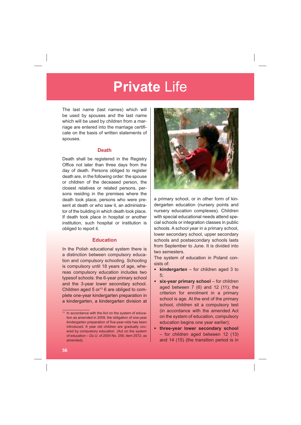The last name (last names) which will be used by spouses and the last name which will be used by children from a marriage are entered into the marriage certificate on the basis of written statements of spouses.

### **Death**

Death shall be registered in the Registry Office not later than three days from the day of death. Persons obliged to register death are, in the following order: the spouse or children of the deceased person, the closest relatives or related persons, persons residing in the premises where the death took place, persons who were present at death or who saw it, an administrator of the building in which death took place. If death took place in hospital or another institution, such hospital or institution is obliged to report it.

### **Education**

In the Polish educational system there is a distinction between compulsory education and compulsory schooling. Schooling is compulsory until 18 years of age, whereas compulsory education includes two typesof schools: the 6-year primary school and the 3-year lower secondary school. Children aged  $5$  or<sup>13</sup> 6 are obliged to complete one-year kindergarten preparation in a kindergarten, a kindergarten division at



a primary school, or in other form of kindergarten education (nursery points and nursery education complexes). Children with special educational needs attend special schools or integration classes in public schools. A school year in a primary school, lower secondary school, upper secondary schools and postsecondary schools lasts from September to June. It is divided into two semesters.

The system of education in Poland consists of:

- **kindergarten** for children aged 3 to 5;
- six-year primary school for children aged between  $7(6)$  and  $12(11)$ ; the criterion for enrolment in a primary school is age. At the end of the primary school, children sit a compulsory test (in accordance with the amended Act on the system of education, compulsory education begins one year earlier);
- **three-year lower secondary school**  – for children aged between 12 (13) and 14 (15) (the transition period is in

<sup>&</sup>lt;sup>13</sup> In accordance with the Act on the system of education as amended in 2009, the obligation of one-year kindergarten preparation of five-year-olds has been introduced. 6 year old children are gradually covered by compulsory education (Act on the system of education – Dz.U. of 2004 No. 256, item 2572, as amended).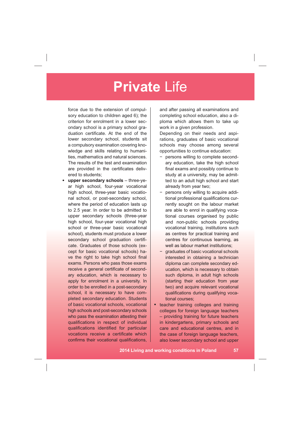force due to the extension of compulsory education to children aged 6); the criterion for enrolment in a lower secondary school is a primary school graduation certificate. At the end of the lower secondary school, students sit a compulsory examination covering knowledge and skills relating to humanities, mathematics and natural sciences. The results of the test and examination are provided in the certificates delivered to students;

• **upper secondary schools** – three-year high school, four-year vocational high school, three-year basic vocational school, or post-secondary school, where the period of education lasts up to 2.5 year. In order to be admitted to upper secondary schools (three-year high school, four-year vocational high school or three-year basic vocational school), students must produce a lower secondary school graduation certificate. Graduates of those schools (except for basic vocational schools) have the right to take high school final exams. Persons who pass those exams receive a general certificate of secondary education, which is necessary to apply for enrolment in a university. In order to be enrolled in a post-secondary school, it is necessary to have completed secondary education. Students of basic vocational schools, vocational high schools and post-secondary schools who pass the examination attesting their qualifications in respect of individual qualifications identified for particular vocations receive a certificate which confirms their vocational qualifications, and after passing all examinations and completing school education, also a diploma which allows them to take up work in a given profession.

Depending on their needs and aspirations, graduates of basic vocational schools may choose among several opportunities to continue education:

- persons willing to complete secondary education, take the high school final exams and possibly continue to study at a university, may be admitted to an adult high school and start already from year two;
- persons only willing to acquire additional professional qualifications currently sought on the labour market are able to enrol in qualifying vocational courses organised by public and non-public schools providing vocational training, institutions such as centres for practical training and centres for continuous learning, as well as labour market institutions:
- graduates of basic vocational schools interested in obtaining a technician diploma can complete secondary education, which is necessary to obtain such diploma, in adult high schools (starting their education from year two) and acquire relevant vocational qualifications during qualifying vocational courses;
- teacher training colleges and training colleges for foreign language teachers – providing training for future teachers in kindergartens, primary schools and care and educational centres, and in the case of foreign language teachers, also lower secondary school and upper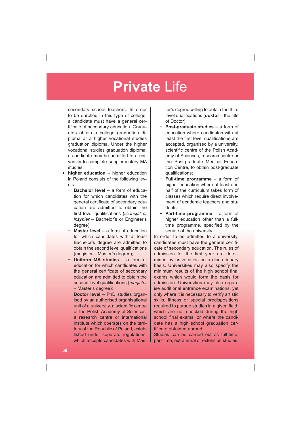secondary school teachers. In order to be enrolled in this type of college, a candidate must have a general certificate of secondary education. Graduates obtain a college graduation diploma or a higher vocational studies graduation diploma. Under the higher vocational studies graduation diploma, a candidate may be admitted to a university to complete supplementary MA studies;

- **higher education** higher education in Poland consists of the following levels:
	- **Bachelor level** a form of education for which candidates with the general certificate of secondary education are admitted to obtain the first level qualifications (licencjat or *inżynier* – Bachelor's or Engineer's degree);
	- **Master level** a form of education for which candidates with at least Bachelor's degree are admitted to obtain the second level qualifications (magister – Master's degree);
	- **Uniform MA studies** a form of education for which candidates with the general certificate of secondary education are admitted to obtain the second level qualifications (*magister* – Master's degree);
	- **Doctor level** PhD studies organised by an authorised organisational unit of a university, a scientific centre of the Polish Academy of Sciences, a research centre or international institute which operates on the territory of the Republic of Poland, established under separate regulations, which accepts candidates with Mas-

ter's degree willing to obtain the third level qualifications (**doktor** – the title of Doctor);

- **Post-graduate studies** a form of education where candidates with at least the first level qualifications are accepted, organised by a university, scientific centre of the Polish Academy of Sciences, research centre or the Post-graduate Medical Education Centre, to obtain post-graduate qualifications;
- **Full-time programme** a form of higher education where at least one half of the curriculum takes form of classes which require direct involvement of academic teachers and students;
- **Part-time programme** a form of higher education other than a fulltime programme, specified by the senate of the university.

In order to be admitted to a university, candidates must have the general certificate of secondary education. The rules of admission for the first year are determined by universities on a discretionary basis. Universities may also specify the minimum results of the high school final exams which would form the basis for admission. Universities may also organise additional entrance examinations, yet only where it is necessary to verify artistic skills, fitness or special predispositions required to pursue studies in a given field, which are not checked during the high school final exams, or where the candidate has a high school graduation certificate obtained abroad.

Studies can be carried out as full-time, part-time, extramural or extension studies.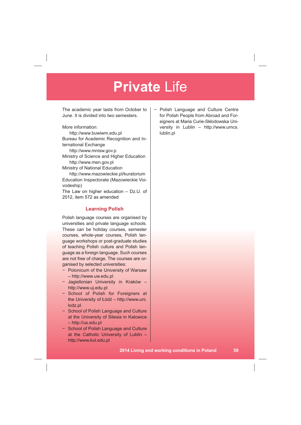The academic year lasts from October to June. It is divided into two semesters.

More information:

http://www.buwiwm.edu.pl Bureau for Academic Recognition and International Exchange http://www.mnisw.gov.p

Ministry of Science and Higher Education http://www.men.gov.pl

Ministry of National Education

http://www.mazowieckie.pl/kuratorium Education Inspectorate (Mazowieckie Voivodeship)

The Law on higher education – Dz.U. of 2012, item 572 as amended

### **Learning Polish**

Polish language courses are organised by universities and private language schools. These can be holiday courses, semester courses, whole-year courses, Polish language workshops or post-graduate studies of teaching Polish culture and Polish language as a foreign language. Such courses are not free of charge. The courses are organised by selected universities:

- Polonicum of the University of Warsaw – http://www.uw.edu.pl
- Jagiellonian University in Kraków http://www.uj.edu.pl
- School of Polish for Foreigners at the University of Łódź – http://www.uni. lodz.pl
- School of Polish Language and Culture at the University of Silesia in Katowice – http://us.edu.pl
- School of Polish Language and Culture at the Catholic University of Lublin – http://www.kul.edu.pl

 Polish Language and Culture Centre for Polish People from Abroad and Foreigners at Maria Curie-Skłodowska University in Lublin – http://www.umcs. lublin.pl